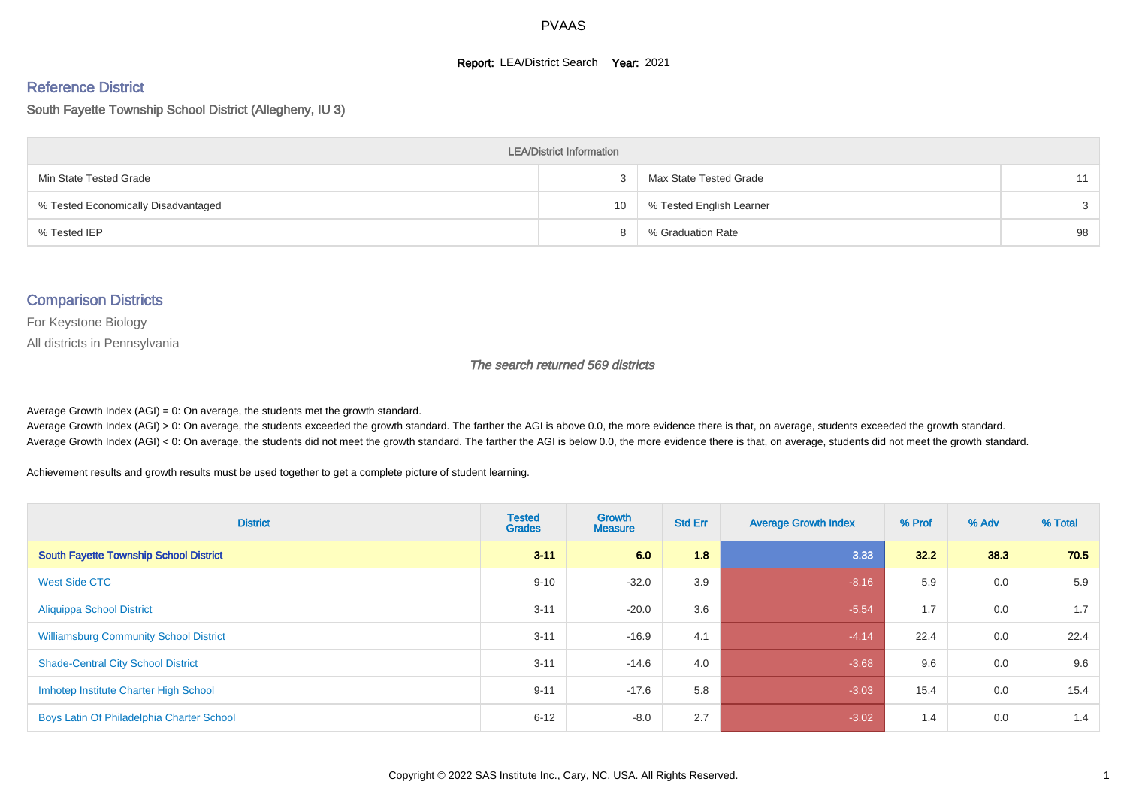#### **Report: LEA/District Search Year: 2021**

# Reference District

South Fayette Township School District (Allegheny, IU 3)

| <b>LEA/District Information</b>     |    |                          |               |  |  |  |  |  |  |
|-------------------------------------|----|--------------------------|---------------|--|--|--|--|--|--|
| Min State Tested Grade              |    | Max State Tested Grade   | 11            |  |  |  |  |  |  |
| % Tested Economically Disadvantaged | 10 | % Tested English Learner | $\mathcal{S}$ |  |  |  |  |  |  |
| % Tested IEP                        |    | % Graduation Rate        | 98            |  |  |  |  |  |  |

#### Comparison Districts

For Keystone Biology

All districts in Pennsylvania

The search returned 569 districts

Average Growth Index  $(AGI) = 0$ : On average, the students met the growth standard.

Average Growth Index (AGI) > 0: On average, the students exceeded the growth standard. The farther the AGI is above 0.0, the more evidence there is that, on average, students exceeded the growth standard. Average Growth Index (AGI) < 0: On average, the students did not meet the growth standard. The farther the AGI is below 0.0, the more evidence there is that, on average, students did not meet the growth standard.

Achievement results and growth results must be used together to get a complete picture of student learning.

| <b>District</b>                               | <b>Tested</b><br><b>Grades</b> | Growth<br><b>Measure</b> | <b>Std Err</b> | <b>Average Growth Index</b> | % Prof | % Adv | % Total |
|-----------------------------------------------|--------------------------------|--------------------------|----------------|-----------------------------|--------|-------|---------|
| South Fayette Township School District        | $3 - 11$                       | 6.0                      | 1.8            | 3.33                        | 32.2   | 38.3  | 70.5    |
| West Side CTC                                 | $9 - 10$                       | $-32.0$                  | 3.9            | $-8.16$                     | 5.9    | 0.0   | 5.9     |
| <b>Aliquippa School District</b>              | $3 - 11$                       | $-20.0$                  | 3.6            | $-5.54$                     | 1.7    | 0.0   | 1.7     |
| <b>Williamsburg Community School District</b> | $3 - 11$                       | $-16.9$                  | 4.1            | $-4.14$                     | 22.4   | 0.0   | 22.4    |
| <b>Shade-Central City School District</b>     | $3 - 11$                       | $-14.6$                  | 4.0            | $-3.68$                     | 9.6    | 0.0   | 9.6     |
| Imhotep Institute Charter High School         | $9 - 11$                       | $-17.6$                  | 5.8            | $-3.03$                     | 15.4   | 0.0   | 15.4    |
| Boys Latin Of Philadelphia Charter School     | $6 - 12$                       | $-8.0$                   | 2.7            | $-3.02$                     | 1.4    | 0.0   | 1.4     |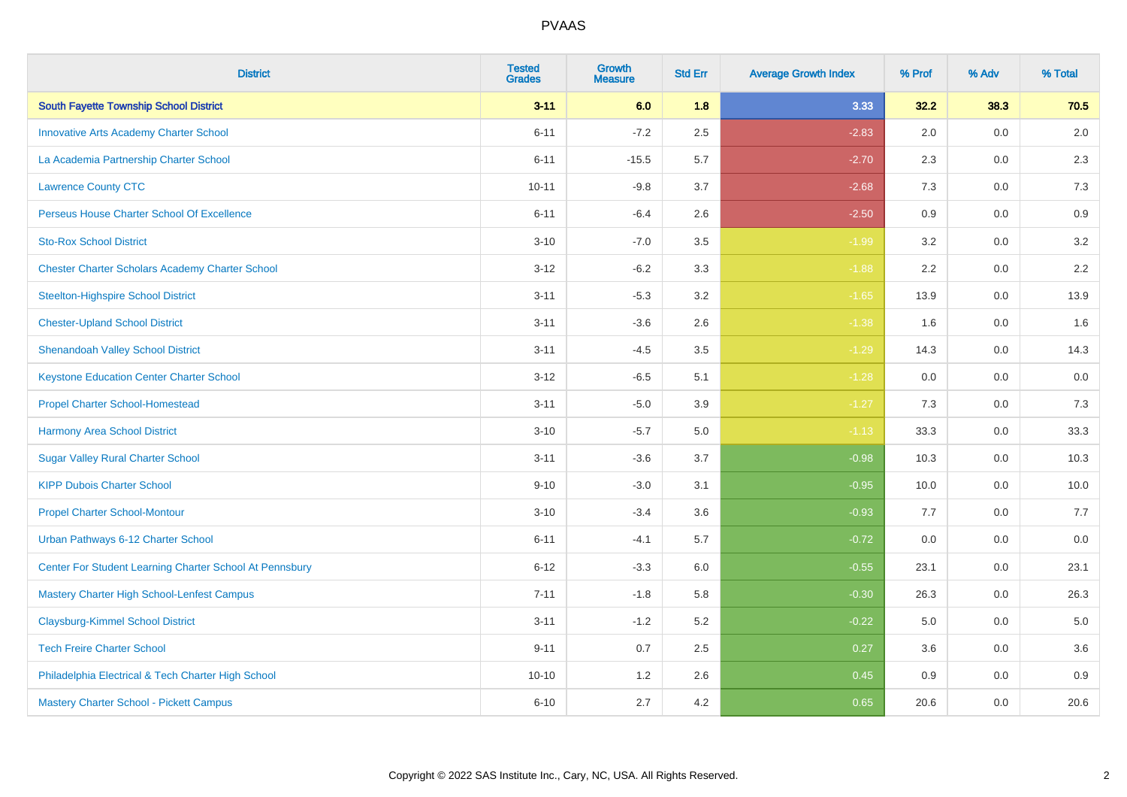| <b>District</b>                                         | <b>Tested</b><br><b>Grades</b> | <b>Growth</b><br><b>Measure</b> | <b>Std Err</b> | <b>Average Growth Index</b> | % Prof | % Adv | % Total |
|---------------------------------------------------------|--------------------------------|---------------------------------|----------------|-----------------------------|--------|-------|---------|
| <b>South Fayette Township School District</b>           | $3 - 11$                       | 6.0                             | 1.8            | 3.33                        | 32.2   | 38.3  | 70.5    |
| <b>Innovative Arts Academy Charter School</b>           | $6 - 11$                       | $-7.2$                          | 2.5            | $-2.83$                     | 2.0    | 0.0   | 2.0     |
| La Academia Partnership Charter School                  | $6 - 11$                       | $-15.5$                         | 5.7            | $-2.70$                     | 2.3    | 0.0   | 2.3     |
| <b>Lawrence County CTC</b>                              | $10 - 11$                      | $-9.8$                          | 3.7            | $-2.68$                     | 7.3    | 0.0   | 7.3     |
| <b>Perseus House Charter School Of Excellence</b>       | $6 - 11$                       | $-6.4$                          | 2.6            | $-2.50$                     | 0.9    | 0.0   | 0.9     |
| <b>Sto-Rox School District</b>                          | $3 - 10$                       | $-7.0$                          | 3.5            | $-1.99$                     | 3.2    | 0.0   | $3.2\,$ |
| <b>Chester Charter Scholars Academy Charter School</b>  | $3 - 12$                       | $-6.2$                          | 3.3            | $-1.88$                     | 2.2    | 0.0   | $2.2\,$ |
| <b>Steelton-Highspire School District</b>               | $3 - 11$                       | $-5.3$                          | 3.2            | $-1.65$                     | 13.9   | 0.0   | 13.9    |
| <b>Chester-Upland School District</b>                   | $3 - 11$                       | $-3.6$                          | 2.6            | $-1.38$                     | 1.6    | 0.0   | 1.6     |
| <b>Shenandoah Valley School District</b>                | $3 - 11$                       | $-4.5$                          | 3.5            | $-1.29$                     | 14.3   | 0.0   | 14.3    |
| <b>Keystone Education Center Charter School</b>         | $3 - 12$                       | $-6.5$                          | 5.1            | $-1.28$                     | 0.0    | 0.0   | 0.0     |
| <b>Propel Charter School-Homestead</b>                  | $3 - 11$                       | $-5.0$                          | 3.9            | $-1.27$                     | $7.3$  | 0.0   | 7.3     |
| <b>Harmony Area School District</b>                     | $3 - 10$                       | $-5.7$                          | 5.0            | $-1.13$                     | 33.3   | 0.0   | 33.3    |
| <b>Sugar Valley Rural Charter School</b>                | $3 - 11$                       | $-3.6$                          | 3.7            | $-0.98$                     | 10.3   | 0.0   | 10.3    |
| <b>KIPP Dubois Charter School</b>                       | $9 - 10$                       | $-3.0$                          | 3.1            | $-0.95$                     | 10.0   | 0.0   | 10.0    |
| <b>Propel Charter School-Montour</b>                    | $3 - 10$                       | $-3.4$                          | 3.6            | $-0.93$                     | 7.7    | 0.0   | 7.7     |
| Urban Pathways 6-12 Charter School                      | $6 - 11$                       | $-4.1$                          | 5.7            | $-0.72$                     | 0.0    | 0.0   | 0.0     |
| Center For Student Learning Charter School At Pennsbury | $6 - 12$                       | $-3.3$                          | 6.0            | $-0.55$                     | 23.1   | 0.0   | 23.1    |
| <b>Mastery Charter High School-Lenfest Campus</b>       | $7 - 11$                       | $-1.8$                          | 5.8            | $-0.30$                     | 26.3   | 0.0   | 26.3    |
| <b>Claysburg-Kimmel School District</b>                 | $3 - 11$                       | $-1.2$                          | 5.2            | $-0.22$                     | 5.0    | 0.0   | 5.0     |
| <b>Tech Freire Charter School</b>                       | $9 - 11$                       | 0.7                             | 2.5            | 0.27                        | 3.6    | 0.0   | 3.6     |
| Philadelphia Electrical & Tech Charter High School      | $10 - 10$                      | 1.2                             | 2.6            | 0.45                        | 0.9    | 0.0   | 0.9     |
| Mastery Charter School - Pickett Campus                 | $6 - 10$                       | 2.7                             | 4.2            | 0.65                        | 20.6   | 0.0   | 20.6    |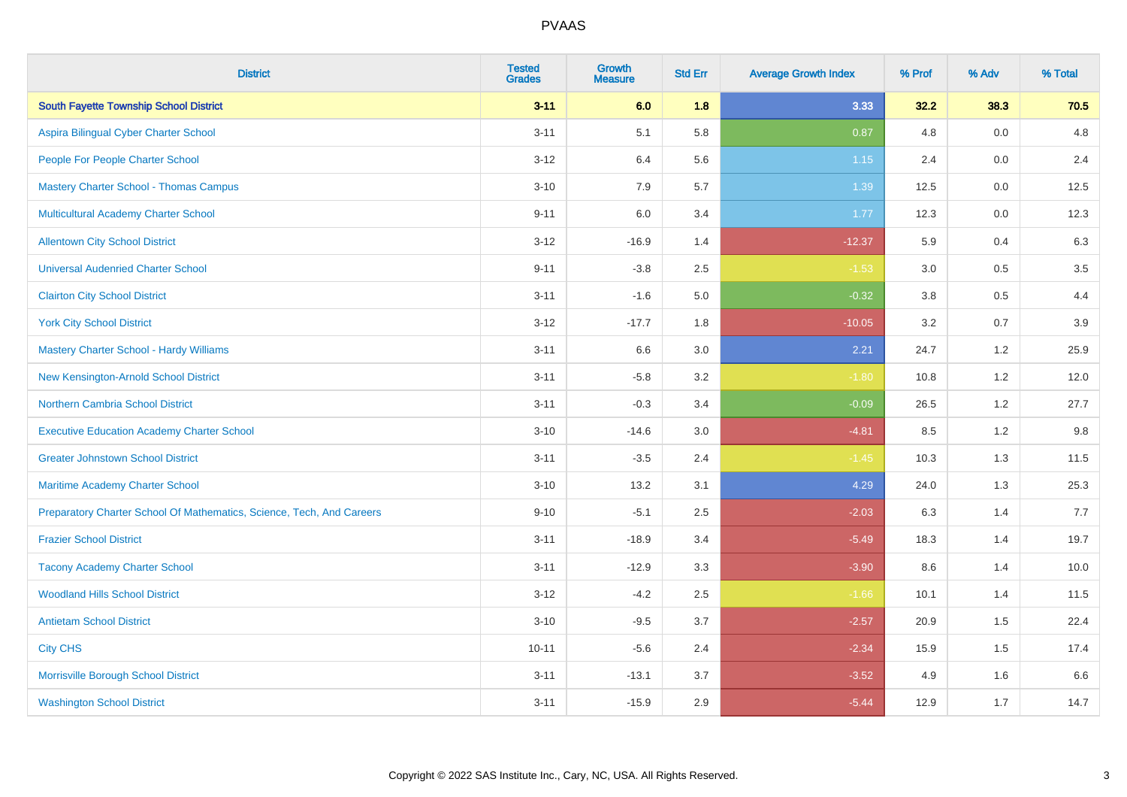| <b>District</b>                                                       | <b>Tested</b><br><b>Grades</b> | <b>Growth</b><br><b>Measure</b> | <b>Std Err</b> | <b>Average Growth Index</b> | % Prof | % Adv | % Total |
|-----------------------------------------------------------------------|--------------------------------|---------------------------------|----------------|-----------------------------|--------|-------|---------|
| <b>South Fayette Township School District</b>                         | $3 - 11$                       | 6.0                             | 1.8            | 3.33                        | 32.2   | 38.3  | 70.5    |
| Aspira Bilingual Cyber Charter School                                 | $3 - 11$                       | 5.1                             | 5.8            | 0.87                        | 4.8    | 0.0   | 4.8     |
| People For People Charter School                                      | $3 - 12$                       | 6.4                             | 5.6            | 1.15                        | 2.4    | 0.0   | 2.4     |
| <b>Mastery Charter School - Thomas Campus</b>                         | $3 - 10$                       | 7.9                             | 5.7            | 1.39                        | 12.5   | 0.0   | 12.5    |
| <b>Multicultural Academy Charter School</b>                           | $9 - 11$                       | 6.0                             | 3.4            | 1.77                        | 12.3   | 0.0   | 12.3    |
| <b>Allentown City School District</b>                                 | $3 - 12$                       | $-16.9$                         | 1.4            | $-12.37$                    | 5.9    | 0.4   | 6.3     |
| <b>Universal Audenried Charter School</b>                             | $9 - 11$                       | $-3.8$                          | 2.5            | $-1.53$                     | 3.0    | 0.5   | $3.5\,$ |
| <b>Clairton City School District</b>                                  | $3 - 11$                       | $-1.6$                          | 5.0            | $-0.32$                     | 3.8    | 0.5   | 4.4     |
| <b>York City School District</b>                                      | $3 - 12$                       | $-17.7$                         | 1.8            | $-10.05$                    | 3.2    | 0.7   | $3.9\,$ |
| <b>Mastery Charter School - Hardy Williams</b>                        | $3 - 11$                       | 6.6                             | $3.0\,$        | 2.21                        | 24.7   | 1.2   | 25.9    |
| New Kensington-Arnold School District                                 | $3 - 11$                       | $-5.8$                          | 3.2            | $-1.80$                     | 10.8   | 1.2   | 12.0    |
| Northern Cambria School District                                      | $3 - 11$                       | $-0.3$                          | 3.4            | $-0.09$                     | 26.5   | 1.2   | 27.7    |
| <b>Executive Education Academy Charter School</b>                     | $3 - 10$                       | $-14.6$                         | 3.0            | $-4.81$                     | 8.5    | 1.2   | 9.8     |
| <b>Greater Johnstown School District</b>                              | $3 - 11$                       | $-3.5$                          | 2.4            | $-1.45$                     | 10.3   | 1.3   | 11.5    |
| Maritime Academy Charter School                                       | $3 - 10$                       | 13.2                            | 3.1            | 4.29                        | 24.0   | 1.3   | 25.3    |
| Preparatory Charter School Of Mathematics, Science, Tech, And Careers | $9 - 10$                       | $-5.1$                          | 2.5            | $-2.03$                     | 6.3    | 1.4   | 7.7     |
| <b>Frazier School District</b>                                        | $3 - 11$                       | $-18.9$                         | 3.4            | $-5.49$                     | 18.3   | 1.4   | 19.7    |
| <b>Tacony Academy Charter School</b>                                  | $3 - 11$                       | $-12.9$                         | 3.3            | $-3.90$                     | 8.6    | 1.4   | 10.0    |
| <b>Woodland Hills School District</b>                                 | $3 - 12$                       | $-4.2$                          | 2.5            | $-1.66$                     | 10.1   | 1.4   | 11.5    |
| <b>Antietam School District</b>                                       | $3 - 10$                       | $-9.5$                          | 3.7            | $-2.57$                     | 20.9   | 1.5   | 22.4    |
| <b>City CHS</b>                                                       | $10 - 11$                      | $-5.6$                          | 2.4            | $-2.34$                     | 15.9   | 1.5   | 17.4    |
| Morrisville Borough School District                                   | $3 - 11$                       | $-13.1$                         | 3.7            | $-3.52$                     | 4.9    | 1.6   | 6.6     |
| <b>Washington School District</b>                                     | $3 - 11$                       | $-15.9$                         | 2.9            | $-5.44$                     | 12.9   | 1.7   | 14.7    |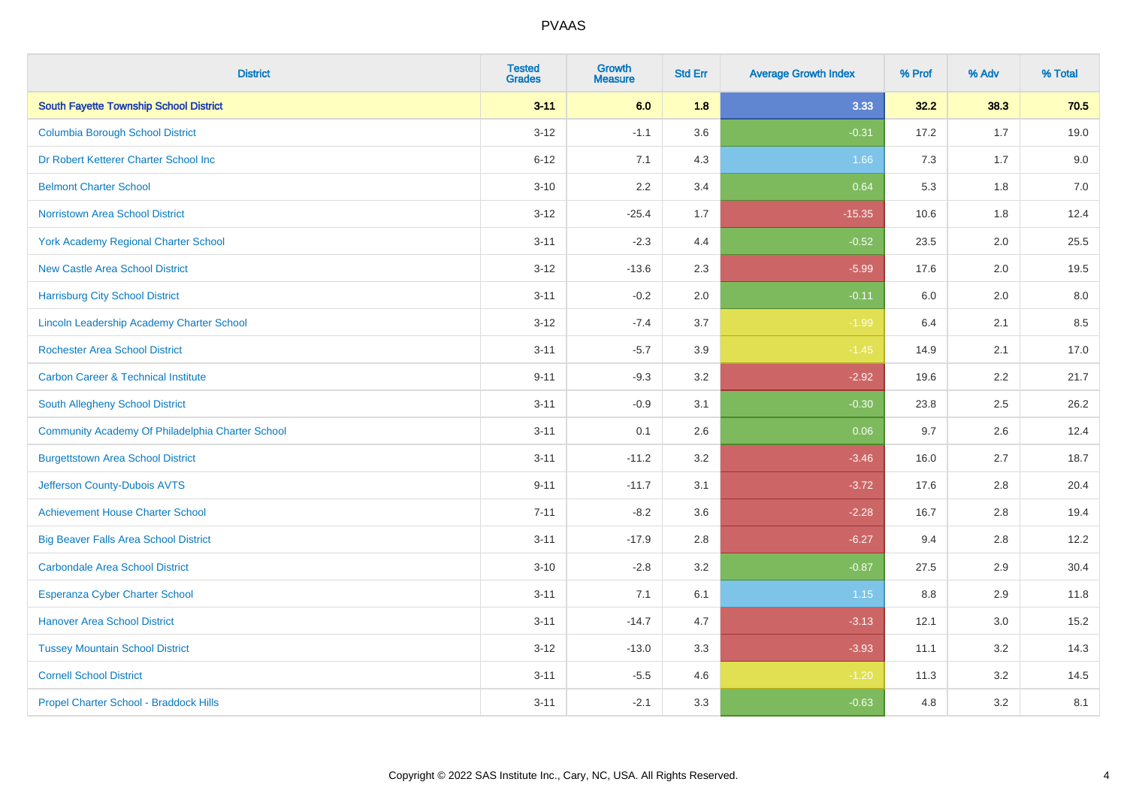| <b>District</b>                                  | <b>Tested</b><br><b>Grades</b> | <b>Growth</b><br><b>Measure</b> | <b>Std Err</b> | <b>Average Growth Index</b> | % Prof | % Adv   | % Total |
|--------------------------------------------------|--------------------------------|---------------------------------|----------------|-----------------------------|--------|---------|---------|
| <b>South Fayette Township School District</b>    | $3 - 11$                       | 6.0                             | 1.8            | 3.33                        | 32.2   | 38.3    | 70.5    |
| <b>Columbia Borough School District</b>          | $3 - 12$                       | $-1.1$                          | 3.6            | $-0.31$                     | 17.2   | 1.7     | 19.0    |
| Dr Robert Ketterer Charter School Inc            | $6 - 12$                       | 7.1                             | 4.3            | 1.66                        | 7.3    | 1.7     | 9.0     |
| <b>Belmont Charter School</b>                    | $3 - 10$                       | 2.2                             | 3.4            | 0.64                        | 5.3    | 1.8     | $7.0$   |
| <b>Norristown Area School District</b>           | $3 - 12$                       | $-25.4$                         | 1.7            | $-15.35$                    | 10.6   | 1.8     | 12.4    |
| <b>York Academy Regional Charter School</b>      | $3 - 11$                       | $-2.3$                          | 4.4            | $-0.52$                     | 23.5   | 2.0     | 25.5    |
| <b>New Castle Area School District</b>           | $3 - 12$                       | $-13.6$                         | 2.3            | $-5.99$                     | 17.6   | 2.0     | 19.5    |
| <b>Harrisburg City School District</b>           | $3 - 11$                       | $-0.2$                          | 2.0            | $-0.11$                     | 6.0    | 2.0     | 8.0     |
| Lincoln Leadership Academy Charter School        | $3 - 12$                       | $-7.4$                          | 3.7            | $-1.99$                     | 6.4    | 2.1     | 8.5     |
| <b>Rochester Area School District</b>            | $3 - 11$                       | $-5.7$                          | 3.9            | $-1.45$                     | 14.9   | 2.1     | 17.0    |
| <b>Carbon Career &amp; Technical Institute</b>   | $9 - 11$                       | $-9.3$                          | 3.2            | $-2.92$                     | 19.6   | 2.2     | 21.7    |
| <b>South Allegheny School District</b>           | $3 - 11$                       | $-0.9$                          | 3.1            | $-0.30$                     | 23.8   | 2.5     | 26.2    |
| Community Academy Of Philadelphia Charter School | $3 - 11$                       | 0.1                             | 2.6            | 0.06                        | 9.7    | $2.6\,$ | 12.4    |
| <b>Burgettstown Area School District</b>         | $3 - 11$                       | $-11.2$                         | 3.2            | $-3.46$                     | 16.0   | 2.7     | 18.7    |
| Jefferson County-Dubois AVTS                     | $9 - 11$                       | $-11.7$                         | 3.1            | $-3.72$                     | 17.6   | 2.8     | 20.4    |
| <b>Achievement House Charter School</b>          | $7 - 11$                       | $-8.2$                          | 3.6            | $-2.28$                     | 16.7   | 2.8     | 19.4    |
| <b>Big Beaver Falls Area School District</b>     | $3 - 11$                       | $-17.9$                         | 2.8            | $-6.27$                     | 9.4    | 2.8     | 12.2    |
| <b>Carbondale Area School District</b>           | $3 - 10$                       | $-2.8$                          | 3.2            | $-0.87$                     | 27.5   | 2.9     | 30.4    |
| <b>Esperanza Cyber Charter School</b>            | $3 - 11$                       | 7.1                             | 6.1            | 1.15                        | 8.8    | 2.9     | 11.8    |
| <b>Hanover Area School District</b>              | $3 - 11$                       | $-14.7$                         | 4.7            | $-3.13$                     | 12.1   | 3.0     | 15.2    |
| <b>Tussey Mountain School District</b>           | $3 - 12$                       | $-13.0$                         | 3.3            | $-3.93$                     | 11.1   | 3.2     | 14.3    |
| <b>Cornell School District</b>                   | $3 - 11$                       | $-5.5$                          | 4.6            | $-1.20$                     | 11.3   | 3.2     | 14.5    |
| Propel Charter School - Braddock Hills           | $3 - 11$                       | $-2.1$                          | 3.3            | $-0.63$                     | 4.8    | 3.2     | 8.1     |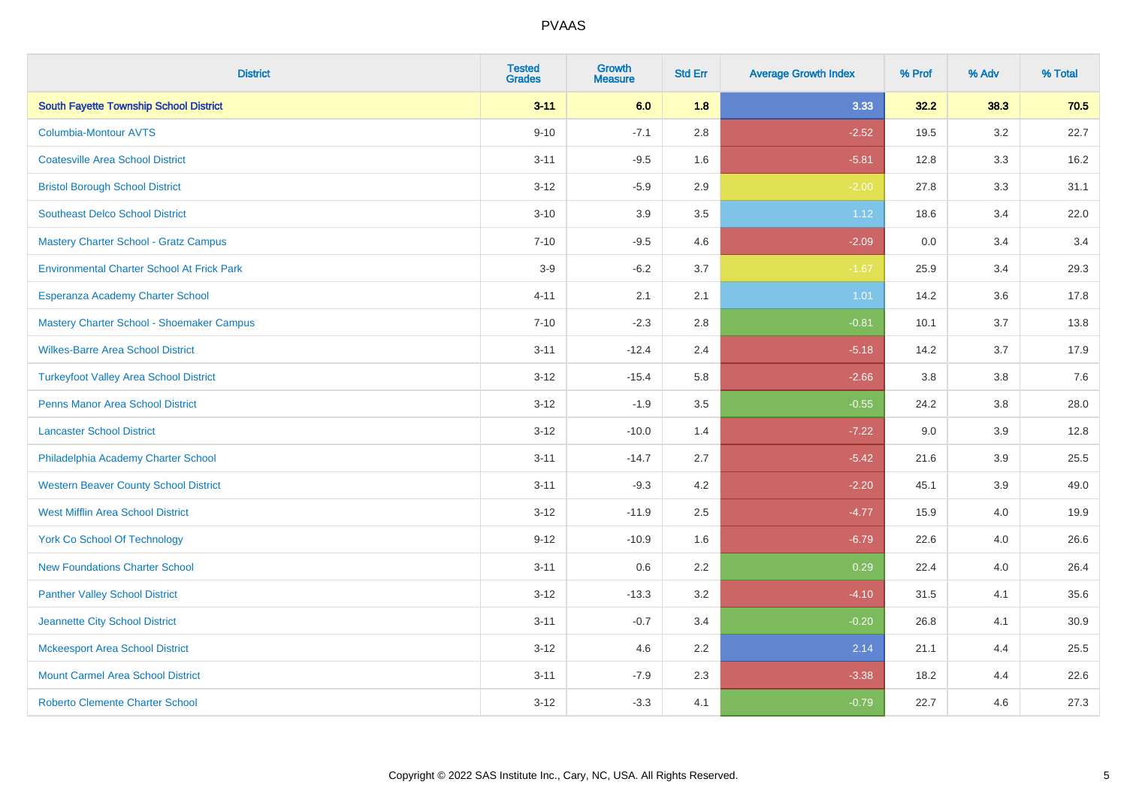| <b>District</b>                                   | <b>Tested</b><br><b>Grades</b> | <b>Growth</b><br><b>Measure</b> | <b>Std Err</b> | <b>Average Growth Index</b> | % Prof | % Adv   | % Total |
|---------------------------------------------------|--------------------------------|---------------------------------|----------------|-----------------------------|--------|---------|---------|
| <b>South Fayette Township School District</b>     | $3 - 11$                       | 6.0                             | 1.8            | 3.33                        | 32.2   | 38.3    | 70.5    |
| <b>Columbia-Montour AVTS</b>                      | $9 - 10$                       | $-7.1$                          | 2.8            | $-2.52$                     | 19.5   | $3.2\,$ | 22.7    |
| <b>Coatesville Area School District</b>           | $3 - 11$                       | $-9.5$                          | 1.6            | $-5.81$                     | 12.8   | 3.3     | 16.2    |
| <b>Bristol Borough School District</b>            | $3 - 12$                       | $-5.9$                          | 2.9            | $-2.00$                     | 27.8   | 3.3     | 31.1    |
| <b>Southeast Delco School District</b>            | $3 - 10$                       | 3.9                             | 3.5            | 1.12                        | 18.6   | 3.4     | 22.0    |
| Mastery Charter School - Gratz Campus             | $7 - 10$                       | $-9.5$                          | 4.6            | $-2.09$                     | 0.0    | 3.4     | 3.4     |
| <b>Environmental Charter School At Frick Park</b> | $3-9$                          | $-6.2$                          | 3.7            | $-1.67$                     | 25.9   | 3.4     | 29.3    |
| Esperanza Academy Charter School                  | $4 - 11$                       | 2.1                             | 2.1            | 1.01                        | 14.2   | 3.6     | 17.8    |
| Mastery Charter School - Shoemaker Campus         | $7 - 10$                       | $-2.3$                          | 2.8            | $-0.81$                     | 10.1   | 3.7     | 13.8    |
| <b>Wilkes-Barre Area School District</b>          | $3 - 11$                       | $-12.4$                         | 2.4            | $-5.18$                     | 14.2   | 3.7     | 17.9    |
| <b>Turkeyfoot Valley Area School District</b>     | $3 - 12$                       | $-15.4$                         | 5.8            | $-2.66$                     | 3.8    | 3.8     | 7.6     |
| <b>Penns Manor Area School District</b>           | $3 - 12$                       | $-1.9$                          | 3.5            | $-0.55$                     | 24.2   | 3.8     | 28.0    |
| <b>Lancaster School District</b>                  | $3 - 12$                       | $-10.0$                         | 1.4            | $-7.22$                     | 9.0    | 3.9     | 12.8    |
| Philadelphia Academy Charter School               | $3 - 11$                       | $-14.7$                         | 2.7            | $-5.42$                     | 21.6   | 3.9     | 25.5    |
| <b>Western Beaver County School District</b>      | $3 - 11$                       | $-9.3$                          | 4.2            | $-2.20$                     | 45.1   | 3.9     | 49.0    |
| <b>West Mifflin Area School District</b>          | $3 - 12$                       | $-11.9$                         | 2.5            | $-4.77$                     | 15.9   | 4.0     | 19.9    |
| <b>York Co School Of Technology</b>               | $9 - 12$                       | $-10.9$                         | 1.6            | $-6.79$                     | 22.6   | 4.0     | 26.6    |
| <b>New Foundations Charter School</b>             | $3 - 11$                       | 0.6                             | 2.2            | 0.29                        | 22.4   | 4.0     | 26.4    |
| <b>Panther Valley School District</b>             | $3 - 12$                       | $-13.3$                         | 3.2            | $-4.10$                     | 31.5   | 4.1     | 35.6    |
| Jeannette City School District                    | $3 - 11$                       | $-0.7$                          | 3.4            | $-0.20$                     | 26.8   | 4.1     | 30.9    |
| <b>Mckeesport Area School District</b>            | $3 - 12$                       | 4.6                             | 2.2            | 2.14                        | 21.1   | 4.4     | 25.5    |
| <b>Mount Carmel Area School District</b>          | $3 - 11$                       | $-7.9$                          | 2.3            | $-3.38$                     | 18.2   | 4.4     | 22.6    |
| <b>Roberto Clemente Charter School</b>            | $3 - 12$                       | $-3.3$                          | 4.1            | $-0.79$                     | 22.7   | 4.6     | 27.3    |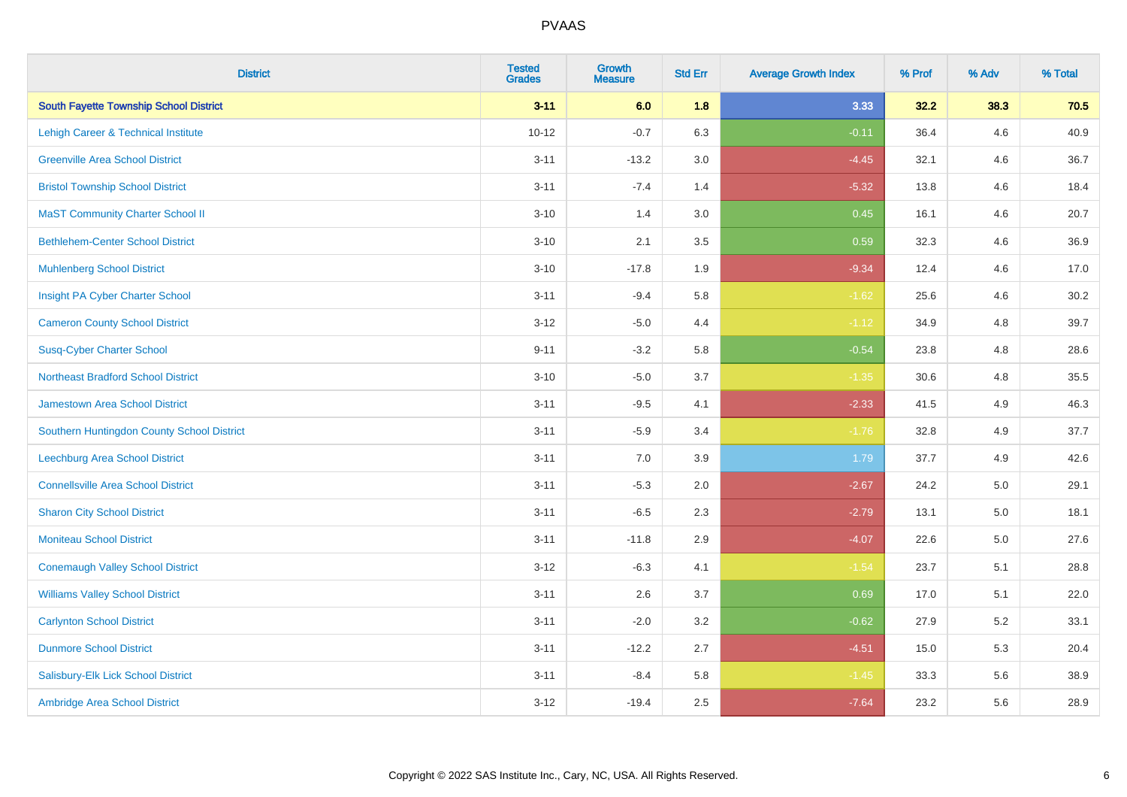| <b>District</b>                               | <b>Tested</b><br><b>Grades</b> | <b>Growth</b><br><b>Measure</b> | <b>Std Err</b> | <b>Average Growth Index</b> | % Prof | % Adv   | % Total |
|-----------------------------------------------|--------------------------------|---------------------------------|----------------|-----------------------------|--------|---------|---------|
| <b>South Fayette Township School District</b> | $3 - 11$                       | 6.0                             | 1.8            | 3.33                        | 32.2   | 38.3    | 70.5    |
| Lehigh Career & Technical Institute           | $10 - 12$                      | $-0.7$                          | 6.3            | $-0.11$                     | 36.4   | 4.6     | 40.9    |
| <b>Greenville Area School District</b>        | $3 - 11$                       | $-13.2$                         | 3.0            | $-4.45$                     | 32.1   | 4.6     | 36.7    |
| <b>Bristol Township School District</b>       | $3 - 11$                       | $-7.4$                          | 1.4            | $-5.32$                     | 13.8   | 4.6     | 18.4    |
| <b>MaST Community Charter School II</b>       | $3 - 10$                       | 1.4                             | 3.0            | 0.45                        | 16.1   | 4.6     | 20.7    |
| <b>Bethlehem-Center School District</b>       | $3 - 10$                       | 2.1                             | 3.5            | 0.59                        | 32.3   | 4.6     | 36.9    |
| <b>Muhlenberg School District</b>             | $3 - 10$                       | $-17.8$                         | 1.9            | $-9.34$                     | 12.4   | 4.6     | 17.0    |
| Insight PA Cyber Charter School               | $3 - 11$                       | $-9.4$                          | 5.8            | $-1.62$                     | 25.6   | 4.6     | 30.2    |
| <b>Cameron County School District</b>         | $3 - 12$                       | $-5.0$                          | 4.4            | $-1.12$                     | 34.9   | 4.8     | 39.7    |
| <b>Susq-Cyber Charter School</b>              | $9 - 11$                       | $-3.2$                          | 5.8            | $-0.54$                     | 23.8   | 4.8     | 28.6    |
| <b>Northeast Bradford School District</b>     | $3 - 10$                       | $-5.0$                          | 3.7            | $-1.35$                     | 30.6   | 4.8     | 35.5    |
| Jamestown Area School District                | $3 - 11$                       | $-9.5$                          | 4.1            | $-2.33$                     | 41.5   | 4.9     | 46.3    |
| Southern Huntingdon County School District    | $3 - 11$                       | $-5.9$                          | 3.4            | $-1.76$                     | 32.8   | 4.9     | 37.7    |
| <b>Leechburg Area School District</b>         | $3 - 11$                       | 7.0                             | 3.9            | 1.79                        | 37.7   | 4.9     | 42.6    |
| <b>Connellsville Area School District</b>     | $3 - 11$                       | $-5.3$                          | 2.0            | $-2.67$                     | 24.2   | 5.0     | 29.1    |
| <b>Sharon City School District</b>            | $3 - 11$                       | $-6.5$                          | 2.3            | $-2.79$                     | 13.1   | $5.0\,$ | 18.1    |
| <b>Moniteau School District</b>               | $3 - 11$                       | $-11.8$                         | 2.9            | $-4.07$                     | 22.6   | 5.0     | 27.6    |
| <b>Conemaugh Valley School District</b>       | $3 - 12$                       | $-6.3$                          | 4.1            | $-1.54$                     | 23.7   | 5.1     | 28.8    |
| <b>Williams Valley School District</b>        | $3 - 11$                       | 2.6                             | 3.7            | 0.69                        | 17.0   | 5.1     | 22.0    |
| <b>Carlynton School District</b>              | $3 - 11$                       | $-2.0$                          | 3.2            | $-0.62$                     | 27.9   | 5.2     | 33.1    |
| <b>Dunmore School District</b>                | $3 - 11$                       | $-12.2$                         | 2.7            | $-4.51$                     | 15.0   | 5.3     | 20.4    |
| Salisbury-Elk Lick School District            | $3 - 11$                       | $-8.4$                          | 5.8            | $-1.45$                     | 33.3   | 5.6     | 38.9    |
| Ambridge Area School District                 | $3 - 12$                       | $-19.4$                         | 2.5            | $-7.64$                     | 23.2   | 5.6     | 28.9    |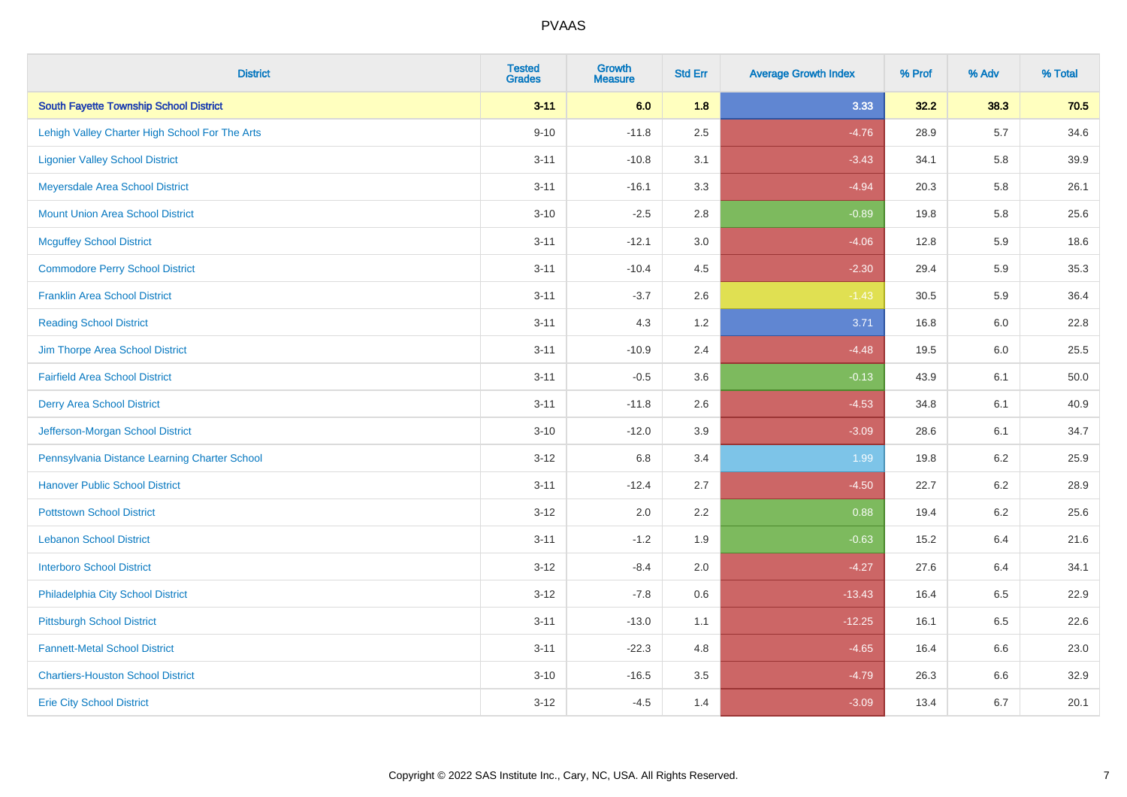| <b>District</b>                                | <b>Tested</b><br><b>Grades</b> | <b>Growth</b><br><b>Measure</b> | <b>Std Err</b> | <b>Average Growth Index</b> | % Prof | % Adv   | % Total |
|------------------------------------------------|--------------------------------|---------------------------------|----------------|-----------------------------|--------|---------|---------|
| <b>South Fayette Township School District</b>  | $3 - 11$                       | 6.0                             | 1.8            | 3.33                        | 32.2   | 38.3    | 70.5    |
| Lehigh Valley Charter High School For The Arts | $9 - 10$                       | $-11.8$                         | 2.5            | $-4.76$                     | 28.9   | $5.7\,$ | 34.6    |
| <b>Ligonier Valley School District</b>         | $3 - 11$                       | $-10.8$                         | 3.1            | $-3.43$                     | 34.1   | 5.8     | 39.9    |
| Meyersdale Area School District                | $3 - 11$                       | $-16.1$                         | 3.3            | $-4.94$                     | 20.3   | 5.8     | 26.1    |
| <b>Mount Union Area School District</b>        | $3 - 10$                       | $-2.5$                          | 2.8            | $-0.89$                     | 19.8   | 5.8     | 25.6    |
| <b>Mcguffey School District</b>                | $3 - 11$                       | $-12.1$                         | 3.0            | $-4.06$                     | 12.8   | 5.9     | 18.6    |
| <b>Commodore Perry School District</b>         | $3 - 11$                       | $-10.4$                         | 4.5            | $-2.30$                     | 29.4   | 5.9     | 35.3    |
| <b>Franklin Area School District</b>           | $3 - 11$                       | $-3.7$                          | 2.6            | $-1.43$                     | 30.5   | 5.9     | 36.4    |
| <b>Reading School District</b>                 | $3 - 11$                       | 4.3                             | 1.2            | 3.71                        | 16.8   | 6.0     | 22.8    |
| Jim Thorpe Area School District                | $3 - 11$                       | $-10.9$                         | 2.4            | $-4.48$                     | 19.5   | 6.0     | 25.5    |
| <b>Fairfield Area School District</b>          | $3 - 11$                       | $-0.5$                          | 3.6            | $-0.13$                     | 43.9   | 6.1     | 50.0    |
| <b>Derry Area School District</b>              | $3 - 11$                       | $-11.8$                         | 2.6            | $-4.53$                     | 34.8   | 6.1     | 40.9    |
| Jefferson-Morgan School District               | $3 - 10$                       | $-12.0$                         | 3.9            | $-3.09$                     | 28.6   | 6.1     | 34.7    |
| Pennsylvania Distance Learning Charter School  | $3 - 12$                       | 6.8                             | 3.4            | 1.99                        | 19.8   | 6.2     | 25.9    |
| <b>Hanover Public School District</b>          | $3 - 11$                       | $-12.4$                         | 2.7            | $-4.50$                     | 22.7   | 6.2     | 28.9    |
| <b>Pottstown School District</b>               | $3 - 12$                       | 2.0                             | 2.2            | 0.88                        | 19.4   | $6.2\,$ | 25.6    |
| <b>Lebanon School District</b>                 | $3 - 11$                       | $-1.2$                          | 1.9            | $-0.63$                     | 15.2   | 6.4     | 21.6    |
| <b>Interboro School District</b>               | $3 - 12$                       | $-8.4$                          | 2.0            | $-4.27$                     | 27.6   | 6.4     | 34.1    |
| Philadelphia City School District              | $3 - 12$                       | $-7.8$                          | 0.6            | $-13.43$                    | 16.4   | 6.5     | 22.9    |
| <b>Pittsburgh School District</b>              | $3 - 11$                       | $-13.0$                         | 1.1            | $-12.25$                    | 16.1   | 6.5     | 22.6    |
| <b>Fannett-Metal School District</b>           | $3 - 11$                       | $-22.3$                         | 4.8            | $-4.65$                     | 16.4   | 6.6     | 23.0    |
| <b>Chartiers-Houston School District</b>       | $3 - 10$                       | $-16.5$                         | 3.5            | $-4.79$                     | 26.3   | 6.6     | 32.9    |
| <b>Erie City School District</b>               | $3 - 12$                       | $-4.5$                          | 1.4            | $-3.09$                     | 13.4   | 6.7     | 20.1    |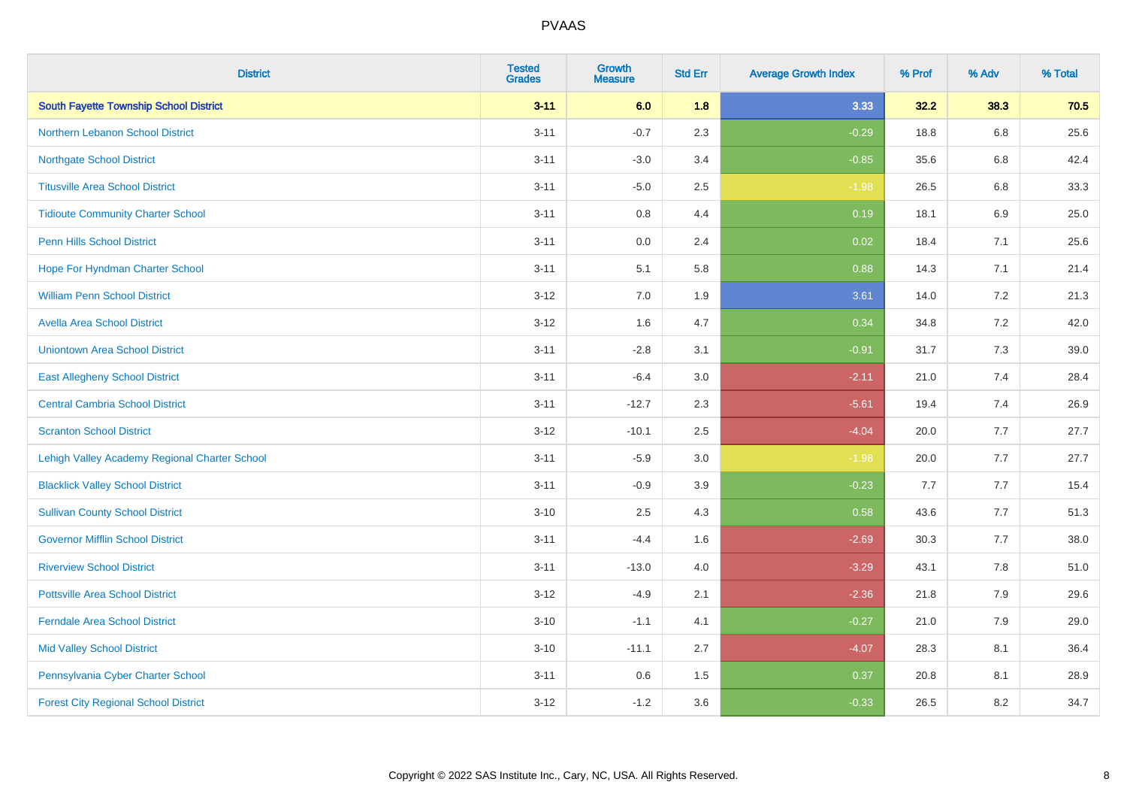| <b>District</b>                               | <b>Tested</b><br><b>Grades</b> | <b>Growth</b><br><b>Measure</b> | <b>Std Err</b> | <b>Average Growth Index</b> | % Prof | % Adv | % Total |
|-----------------------------------------------|--------------------------------|---------------------------------|----------------|-----------------------------|--------|-------|---------|
| <b>South Fayette Township School District</b> | $3 - 11$                       | 6.0                             | 1.8            | 3.33                        | 32.2   | 38.3  | 70.5    |
| Northern Lebanon School District              | $3 - 11$                       | $-0.7$                          | 2.3            | $-0.29$                     | 18.8   | 6.8   | 25.6    |
| <b>Northgate School District</b>              | $3 - 11$                       | $-3.0$                          | 3.4            | $-0.85$                     | 35.6   | 6.8   | 42.4    |
| <b>Titusville Area School District</b>        | $3 - 11$                       | $-5.0$                          | 2.5            | $-1.98$                     | 26.5   | 6.8   | 33.3    |
| <b>Tidioute Community Charter School</b>      | $3 - 11$                       | 0.8                             | 4.4            | 0.19                        | 18.1   | 6.9   | 25.0    |
| <b>Penn Hills School District</b>             | $3 - 11$                       | 0.0                             | 2.4            | 0.02                        | 18.4   | 7.1   | 25.6    |
| Hope For Hyndman Charter School               | $3 - 11$                       | 5.1                             | 5.8            | 0.88                        | 14.3   | 7.1   | 21.4    |
| <b>William Penn School District</b>           | $3 - 12$                       | 7.0                             | 1.9            | 3.61                        | 14.0   | 7.2   | 21.3    |
| <b>Avella Area School District</b>            | $3 - 12$                       | 1.6                             | 4.7            | 0.34                        | 34.8   | 7.2   | 42.0    |
| <b>Uniontown Area School District</b>         | $3 - 11$                       | $-2.8$                          | 3.1            | $-0.91$                     | 31.7   | 7.3   | 39.0    |
| <b>East Allegheny School District</b>         | $3 - 11$                       | $-6.4$                          | 3.0            | $-2.11$                     | 21.0   | 7.4   | 28.4    |
| <b>Central Cambria School District</b>        | $3 - 11$                       | $-12.7$                         | 2.3            | $-5.61$                     | 19.4   | 7.4   | 26.9    |
| <b>Scranton School District</b>               | $3 - 12$                       | $-10.1$                         | 2.5            | $-4.04$                     | 20.0   | 7.7   | 27.7    |
| Lehigh Valley Academy Regional Charter School | $3 - 11$                       | $-5.9$                          | 3.0            | $-1.98$                     | 20.0   | 7.7   | 27.7    |
| <b>Blacklick Valley School District</b>       | $3 - 11$                       | $-0.9$                          | 3.9            | $-0.23$                     | 7.7    | 7.7   | 15.4    |
| <b>Sullivan County School District</b>        | $3 - 10$                       | 2.5                             | 4.3            | 0.58                        | 43.6   | 7.7   | 51.3    |
| <b>Governor Mifflin School District</b>       | $3 - 11$                       | $-4.4$                          | 1.6            | $-2.69$                     | 30.3   | 7.7   | 38.0    |
| <b>Riverview School District</b>              | $3 - 11$                       | $-13.0$                         | 4.0            | $-3.29$                     | 43.1   | 7.8   | 51.0    |
| <b>Pottsville Area School District</b>        | $3 - 12$                       | $-4.9$                          | 2.1            | $-2.36$                     | 21.8   | 7.9   | 29.6    |
| <b>Ferndale Area School District</b>          | $3 - 10$                       | $-1.1$                          | 4.1            | $-0.27$                     | 21.0   | 7.9   | 29.0    |
| <b>Mid Valley School District</b>             | $3 - 10$                       | $-11.1$                         | 2.7            | $-4.07$                     | 28.3   | 8.1   | 36.4    |
| Pennsylvania Cyber Charter School             | $3 - 11$                       | 0.6                             | 1.5            | 0.37                        | 20.8   | 8.1   | 28.9    |
| <b>Forest City Regional School District</b>   | $3 - 12$                       | $-1.2$                          | 3.6            | $-0.33$                     | 26.5   | 8.2   | 34.7    |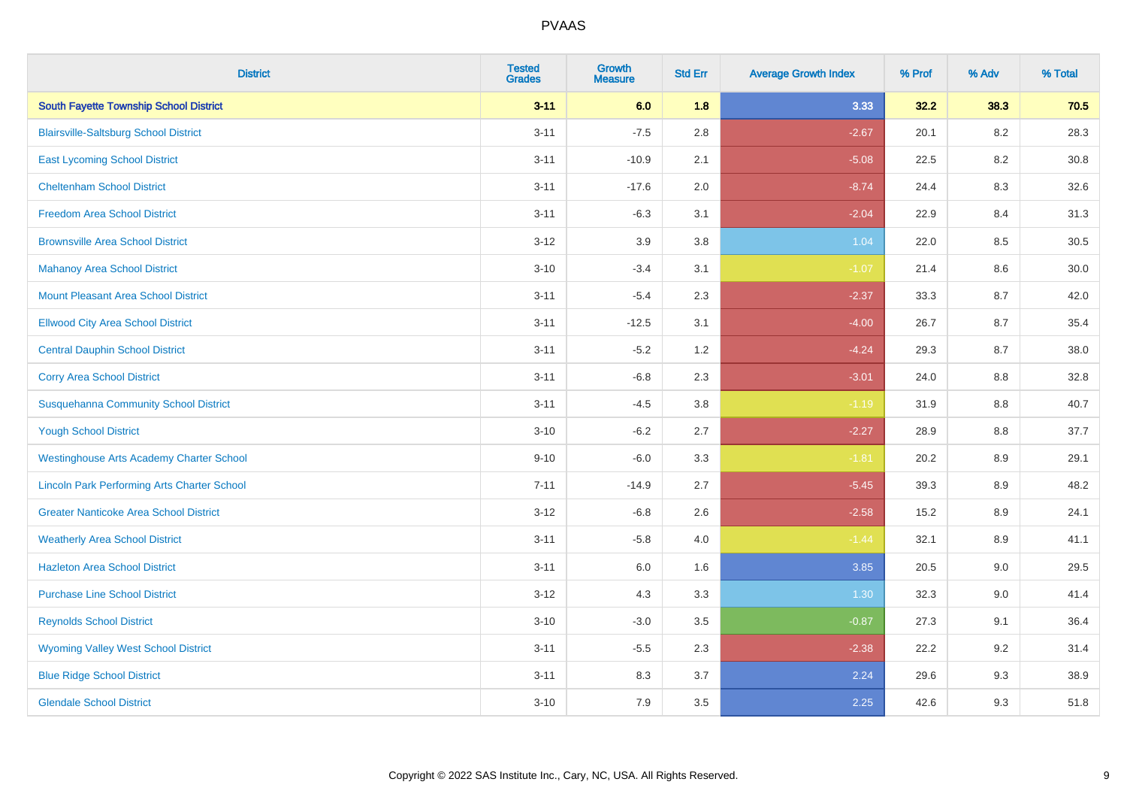| <b>District</b>                                    | <b>Tested</b><br><b>Grades</b> | <b>Growth</b><br><b>Measure</b> | <b>Std Err</b> | <b>Average Growth Index</b> | % Prof | % Adv   | % Total |
|----------------------------------------------------|--------------------------------|---------------------------------|----------------|-----------------------------|--------|---------|---------|
| South Fayette Township School District             | $3 - 11$                       | 6.0                             | 1.8            | 3.33                        | 32.2   | 38.3    | 70.5    |
| <b>Blairsville-Saltsburg School District</b>       | $3 - 11$                       | $-7.5$                          | 2.8            | $-2.67$                     | 20.1   | $8.2\,$ | 28.3    |
| <b>East Lycoming School District</b>               | $3 - 11$                       | $-10.9$                         | 2.1            | $-5.08$                     | 22.5   | 8.2     | 30.8    |
| <b>Cheltenham School District</b>                  | $3 - 11$                       | $-17.6$                         | 2.0            | $-8.74$                     | 24.4   | 8.3     | 32.6    |
| <b>Freedom Area School District</b>                | $3 - 11$                       | $-6.3$                          | 3.1            | $-2.04$                     | 22.9   | 8.4     | 31.3    |
| <b>Brownsville Area School District</b>            | $3 - 12$                       | 3.9                             | 3.8            | 1.04                        | 22.0   | 8.5     | 30.5    |
| <b>Mahanoy Area School District</b>                | $3 - 10$                       | $-3.4$                          | 3.1            | $-1.07$                     | 21.4   | 8.6     | 30.0    |
| <b>Mount Pleasant Area School District</b>         | $3 - 11$                       | $-5.4$                          | 2.3            | $-2.37$                     | 33.3   | 8.7     | 42.0    |
| <b>Ellwood City Area School District</b>           | $3 - 11$                       | $-12.5$                         | 3.1            | $-4.00$                     | 26.7   | 8.7     | 35.4    |
| <b>Central Dauphin School District</b>             | $3 - 11$                       | $-5.2$                          | 1.2            | $-4.24$                     | 29.3   | 8.7     | 38.0    |
| <b>Corry Area School District</b>                  | $3 - 11$                       | $-6.8$                          | 2.3            | $-3.01$                     | 24.0   | 8.8     | 32.8    |
| <b>Susquehanna Community School District</b>       | $3 - 11$                       | $-4.5$                          | 3.8            | $-1.19$                     | 31.9   | 8.8     | 40.7    |
| <b>Yough School District</b>                       | $3 - 10$                       | $-6.2$                          | 2.7            | $-2.27$                     | 28.9   | $8.8\,$ | 37.7    |
| <b>Westinghouse Arts Academy Charter School</b>    | $9 - 10$                       | $-6.0$                          | 3.3            | $-1.81$                     | 20.2   | 8.9     | 29.1    |
| <b>Lincoln Park Performing Arts Charter School</b> | $7 - 11$                       | $-14.9$                         | 2.7            | $-5.45$                     | 39.3   | 8.9     | 48.2    |
| <b>Greater Nanticoke Area School District</b>      | $3 - 12$                       | $-6.8$                          | 2.6            | $-2.58$                     | 15.2   | $8.9\,$ | 24.1    |
| <b>Weatherly Area School District</b>              | $3 - 11$                       | $-5.8$                          | 4.0            | $-1.44$                     | 32.1   | 8.9     | 41.1    |
| <b>Hazleton Area School District</b>               | $3 - 11$                       | 6.0                             | 1.6            | 3.85                        | 20.5   | 9.0     | 29.5    |
| <b>Purchase Line School District</b>               | $3 - 12$                       | 4.3                             | 3.3            | 1.30                        | 32.3   | 9.0     | 41.4    |
| <b>Reynolds School District</b>                    | $3 - 10$                       | $-3.0$                          | 3.5            | $-0.87$                     | 27.3   | 9.1     | 36.4    |
| <b>Wyoming Valley West School District</b>         | $3 - 11$                       | $-5.5$                          | 2.3            | $-2.38$                     | 22.2   | 9.2     | 31.4    |
| <b>Blue Ridge School District</b>                  | $3 - 11$                       | 8.3                             | 3.7            | 2.24                        | 29.6   | 9.3     | 38.9    |
| <b>Glendale School District</b>                    | $3 - 10$                       | 7.9                             | 3.5            | 2.25                        | 42.6   | 9.3     | 51.8    |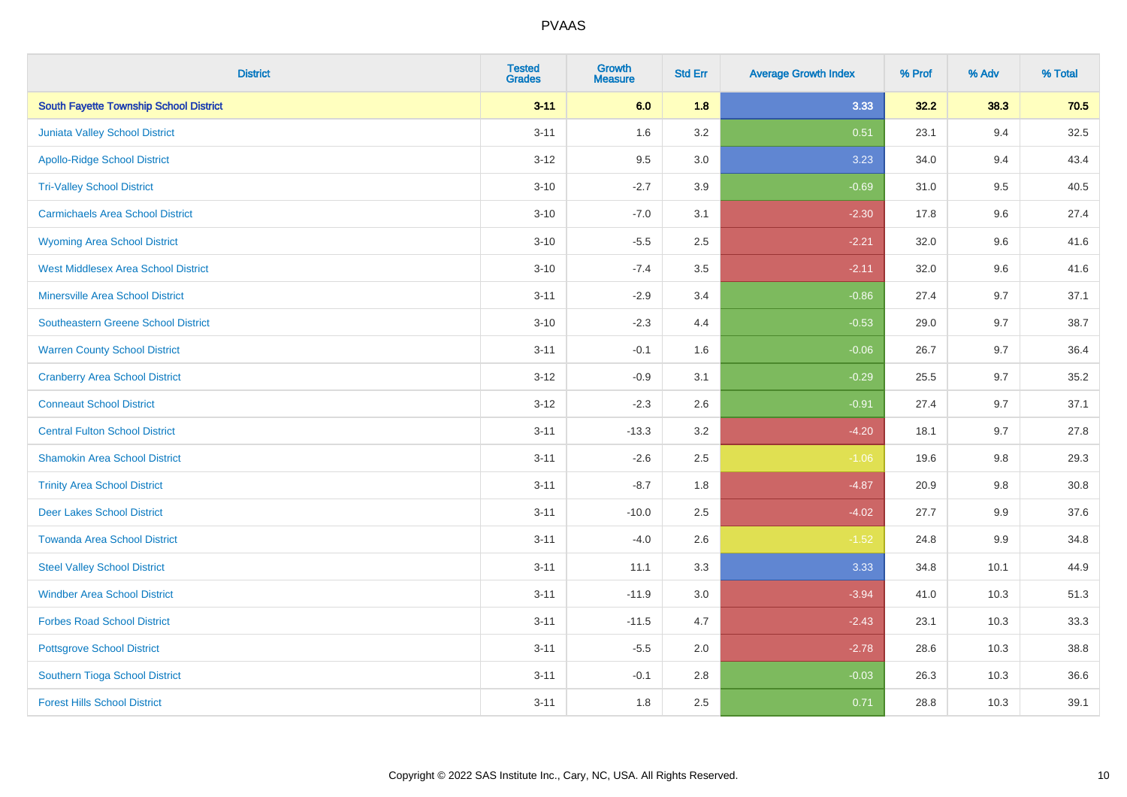| <b>District</b>                               | <b>Tested</b><br><b>Grades</b> | <b>Growth</b><br><b>Measure</b> | <b>Std Err</b> | <b>Average Growth Index</b> | % Prof | % Adv   | % Total  |
|-----------------------------------------------|--------------------------------|---------------------------------|----------------|-----------------------------|--------|---------|----------|
| <b>South Fayette Township School District</b> | $3 - 11$                       | 6.0                             | 1.8            | 3.33                        | 32.2   | 38.3    | 70.5     |
| <b>Juniata Valley School District</b>         | $3 - 11$                       | 1.6                             | 3.2            | 0.51                        | 23.1   | 9.4     | 32.5     |
| <b>Apollo-Ridge School District</b>           | $3 - 12$                       | 9.5                             | 3.0            | 3.23                        | 34.0   | 9.4     | 43.4     |
| <b>Tri-Valley School District</b>             | $3 - 10$                       | $-2.7$                          | 3.9            | $-0.69$                     | 31.0   | 9.5     | 40.5     |
| <b>Carmichaels Area School District</b>       | $3 - 10$                       | $-7.0$                          | 3.1            | $-2.30$                     | 17.8   | 9.6     | 27.4     |
| <b>Wyoming Area School District</b>           | $3 - 10$                       | $-5.5$                          | 2.5            | $-2.21$                     | 32.0   | 9.6     | 41.6     |
| <b>West Middlesex Area School District</b>    | $3 - 10$                       | $-7.4$                          | 3.5            | $-2.11$                     | 32.0   | 9.6     | 41.6     |
| <b>Minersville Area School District</b>       | $3 - 11$                       | $-2.9$                          | 3.4            | $-0.86$                     | 27.4   | 9.7     | 37.1     |
| Southeastern Greene School District           | $3 - 10$                       | $-2.3$                          | 4.4            | $-0.53$                     | 29.0   | 9.7     | 38.7     |
| <b>Warren County School District</b>          | $3 - 11$                       | $-0.1$                          | 1.6            | $-0.06$                     | 26.7   | 9.7     | 36.4     |
| <b>Cranberry Area School District</b>         | $3 - 12$                       | $-0.9$                          | 3.1            | $-0.29$                     | 25.5   | 9.7     | 35.2     |
| <b>Conneaut School District</b>               | $3 - 12$                       | $-2.3$                          | 2.6            | $-0.91$                     | 27.4   | 9.7     | 37.1     |
| <b>Central Fulton School District</b>         | $3 - 11$                       | $-13.3$                         | 3.2            | $-4.20$                     | 18.1   | 9.7     | 27.8     |
| <b>Shamokin Area School District</b>          | $3 - 11$                       | $-2.6$                          | 2.5            | $-1.06$                     | 19.6   | 9.8     | 29.3     |
| <b>Trinity Area School District</b>           | $3 - 11$                       | $-8.7$                          | 1.8            | $-4.87$                     | 20.9   | 9.8     | $30.8\,$ |
| <b>Deer Lakes School District</b>             | $3 - 11$                       | $-10.0$                         | 2.5            | $-4.02$                     | 27.7   | 9.9     | 37.6     |
| <b>Towanda Area School District</b>           | $3 - 11$                       | $-4.0$                          | 2.6            | $-1.52$                     | 24.8   | $9.9\,$ | 34.8     |
| <b>Steel Valley School District</b>           | $3 - 11$                       | 11.1                            | 3.3            | 3.33                        | 34.8   | 10.1    | 44.9     |
| <b>Windber Area School District</b>           | $3 - 11$                       | $-11.9$                         | $3.0\,$        | $-3.94$                     | 41.0   | 10.3    | 51.3     |
| <b>Forbes Road School District</b>            | $3 - 11$                       | $-11.5$                         | 4.7            | $-2.43$                     | 23.1   | 10.3    | 33.3     |
| <b>Pottsgrove School District</b>             | $3 - 11$                       | $-5.5$                          | 2.0            | $-2.78$                     | 28.6   | 10.3    | 38.8     |
| Southern Tioga School District                | $3 - 11$                       | $-0.1$                          | 2.8            | $-0.03$                     | 26.3   | 10.3    | 36.6     |
| <b>Forest Hills School District</b>           | $3 - 11$                       | 1.8                             | 2.5            | 0.71                        | 28.8   | 10.3    | 39.1     |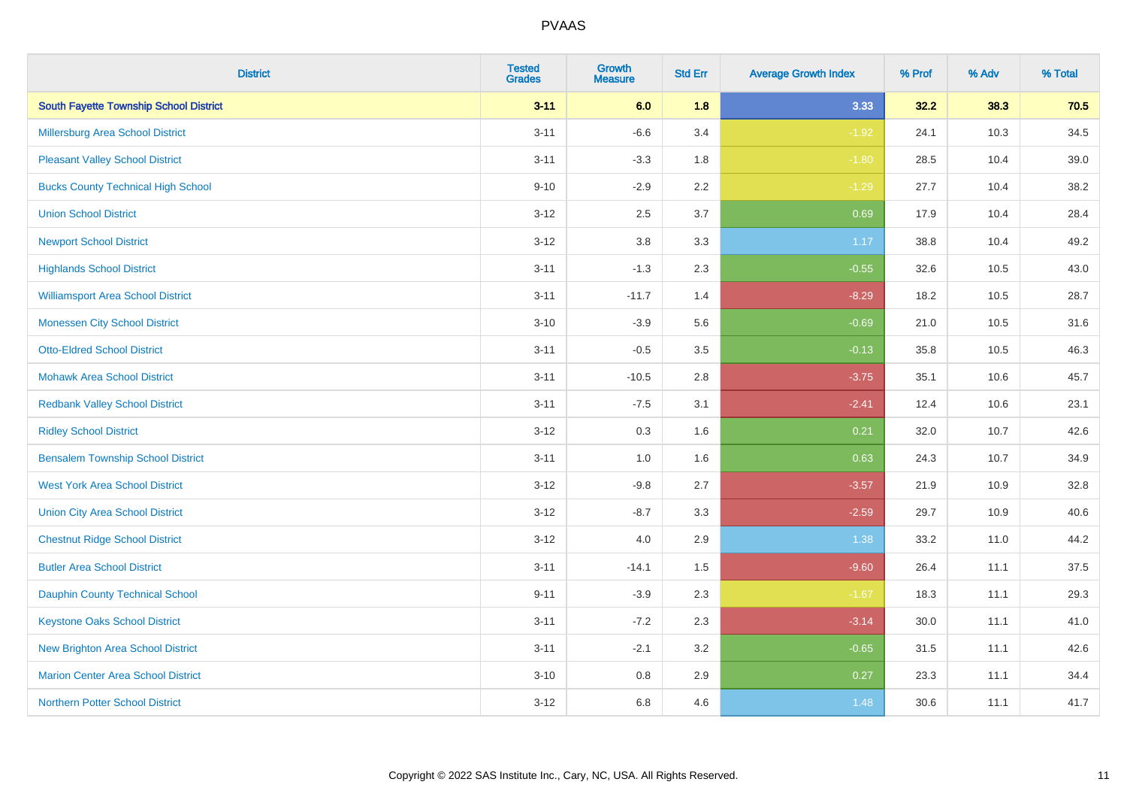| <b>District</b>                               | <b>Tested</b><br><b>Grades</b> | <b>Growth</b><br><b>Measure</b> | <b>Std Err</b> | <b>Average Growth Index</b> | % Prof | % Adv | % Total |
|-----------------------------------------------|--------------------------------|---------------------------------|----------------|-----------------------------|--------|-------|---------|
| <b>South Fayette Township School District</b> | $3 - 11$                       | 6.0                             | 1.8            | 3.33                        | 32.2   | 38.3  | 70.5    |
| <b>Millersburg Area School District</b>       | $3 - 11$                       | $-6.6$                          | 3.4            | $-1.92$                     | 24.1   | 10.3  | 34.5    |
| <b>Pleasant Valley School District</b>        | $3 - 11$                       | $-3.3$                          | 1.8            | $-1.80$                     | 28.5   | 10.4  | 39.0    |
| <b>Bucks County Technical High School</b>     | $9 - 10$                       | $-2.9$                          | 2.2            | $-1.29$                     | 27.7   | 10.4  | 38.2    |
| <b>Union School District</b>                  | $3 - 12$                       | 2.5                             | 3.7            | 0.69                        | 17.9   | 10.4  | 28.4    |
| <b>Newport School District</b>                | $3 - 12$                       | $3.8\,$                         | 3.3            | 1.17                        | 38.8   | 10.4  | 49.2    |
| <b>Highlands School District</b>              | $3 - 11$                       | $-1.3$                          | 2.3            | $-0.55$                     | 32.6   | 10.5  | 43.0    |
| <b>Williamsport Area School District</b>      | $3 - 11$                       | $-11.7$                         | 1.4            | $-8.29$                     | 18.2   | 10.5  | 28.7    |
| <b>Monessen City School District</b>          | $3 - 10$                       | $-3.9$                          | 5.6            | $-0.69$                     | 21.0   | 10.5  | 31.6    |
| <b>Otto-Eldred School District</b>            | $3 - 11$                       | $-0.5$                          | 3.5            | $-0.13$                     | 35.8   | 10.5  | 46.3    |
| <b>Mohawk Area School District</b>            | $3 - 11$                       | $-10.5$                         | 2.8            | $-3.75$                     | 35.1   | 10.6  | 45.7    |
| <b>Redbank Valley School District</b>         | $3 - 11$                       | $-7.5$                          | 3.1            | $-2.41$                     | 12.4   | 10.6  | 23.1    |
| <b>Ridley School District</b>                 | $3 - 12$                       | 0.3                             | 1.6            | 0.21                        | 32.0   | 10.7  | 42.6    |
| <b>Bensalem Township School District</b>      | $3 - 11$                       | $1.0\,$                         | 1.6            | 0.63                        | 24.3   | 10.7  | 34.9    |
| <b>West York Area School District</b>         | $3-12$                         | $-9.8$                          | 2.7            | $-3.57$                     | 21.9   | 10.9  | 32.8    |
| <b>Union City Area School District</b>        | $3 - 12$                       | $-8.7$                          | 3.3            | $-2.59$                     | 29.7   | 10.9  | 40.6    |
| <b>Chestnut Ridge School District</b>         | $3 - 12$                       | 4.0                             | 2.9            | 1.38                        | 33.2   | 11.0  | 44.2    |
| <b>Butler Area School District</b>            | $3 - 11$                       | $-14.1$                         | 1.5            | $-9.60$                     | 26.4   | 11.1  | 37.5    |
| <b>Dauphin County Technical School</b>        | $9 - 11$                       | $-3.9$                          | 2.3            | $-1.67$                     | 18.3   | 11.1  | 29.3    |
| <b>Keystone Oaks School District</b>          | $3 - 11$                       | $-7.2$                          | 2.3            | $-3.14$                     | 30.0   | 11.1  | 41.0    |
| <b>New Brighton Area School District</b>      | $3 - 11$                       | $-2.1$                          | 3.2            | $-0.65$                     | 31.5   | 11.1  | 42.6    |
| <b>Marion Center Area School District</b>     | $3 - 10$                       | $0.8\,$                         | 2.9            | 0.27                        | 23.3   | 11.1  | 34.4    |
| <b>Northern Potter School District</b>        | $3-12$                         | 6.8                             | 4.6            | 1.48                        | 30.6   | 11.1  | 41.7    |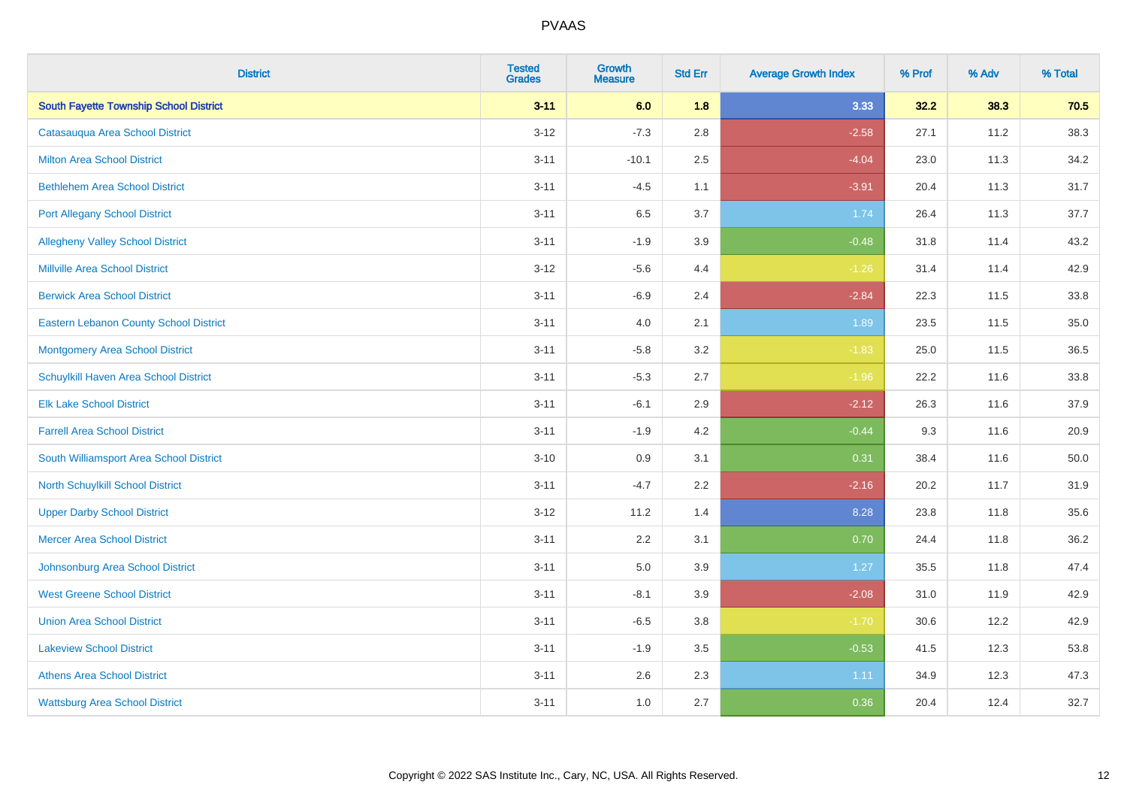| <b>District</b>                               | <b>Tested</b><br><b>Grades</b> | <b>Growth</b><br><b>Measure</b> | <b>Std Err</b> | <b>Average Growth Index</b> | % Prof | % Adv | % Total |
|-----------------------------------------------|--------------------------------|---------------------------------|----------------|-----------------------------|--------|-------|---------|
| <b>South Fayette Township School District</b> | $3 - 11$                       | 6.0                             | 1.8            | 3.33                        | 32.2   | 38.3  | 70.5    |
| Catasauqua Area School District               | $3 - 12$                       | $-7.3$                          | 2.8            | $-2.58$                     | 27.1   | 11.2  | 38.3    |
| <b>Milton Area School District</b>            | $3 - 11$                       | $-10.1$                         | 2.5            | $-4.04$                     | 23.0   | 11.3  | 34.2    |
| <b>Bethlehem Area School District</b>         | $3 - 11$                       | $-4.5$                          | 1.1            | $-3.91$                     | 20.4   | 11.3  | 31.7    |
| <b>Port Allegany School District</b>          | $3 - 11$                       | 6.5                             | 3.7            | 1.74                        | 26.4   | 11.3  | 37.7    |
| <b>Allegheny Valley School District</b>       | $3 - 11$                       | $-1.9$                          | 3.9            | $-0.48$                     | 31.8   | 11.4  | 43.2    |
| <b>Millville Area School District</b>         | $3-12$                         | $-5.6$                          | 4.4            | $-1.26$                     | 31.4   | 11.4  | 42.9    |
| <b>Berwick Area School District</b>           | $3 - 11$                       | $-6.9$                          | 2.4            | $-2.84$                     | 22.3   | 11.5  | 33.8    |
| <b>Eastern Lebanon County School District</b> | $3 - 11$                       | 4.0                             | 2.1            | 1.89                        | 23.5   | 11.5  | 35.0    |
| <b>Montgomery Area School District</b>        | $3 - 11$                       | $-5.8$                          | 3.2            | $-1.83$                     | 25.0   | 11.5  | 36.5    |
| Schuylkill Haven Area School District         | $3 - 11$                       | $-5.3$                          | 2.7            | $-1.96$                     | 22.2   | 11.6  | 33.8    |
| <b>Elk Lake School District</b>               | $3 - 11$                       | $-6.1$                          | 2.9            | $-2.12$                     | 26.3   | 11.6  | 37.9    |
| <b>Farrell Area School District</b>           | $3 - 11$                       | $-1.9$                          | 4.2            | $-0.44$                     | 9.3    | 11.6  | 20.9    |
| South Williamsport Area School District       | $3 - 10$                       | 0.9                             | 3.1            | 0.31                        | 38.4   | 11.6  | 50.0    |
| <b>North Schuylkill School District</b>       | $3 - 11$                       | $-4.7$                          | 2.2            | $-2.16$                     | 20.2   | 11.7  | 31.9    |
| <b>Upper Darby School District</b>            | $3 - 12$                       | 11.2                            | 1.4            | 8.28                        | 23.8   | 11.8  | 35.6    |
| <b>Mercer Area School District</b>            | $3 - 11$                       | 2.2                             | 3.1            | 0.70                        | 24.4   | 11.8  | 36.2    |
| Johnsonburg Area School District              | $3 - 11$                       | 5.0                             | 3.9            | $1.27$                      | 35.5   | 11.8  | 47.4    |
| <b>West Greene School District</b>            | $3 - 11$                       | $-8.1$                          | 3.9            | $-2.08$                     | 31.0   | 11.9  | 42.9    |
| <b>Union Area School District</b>             | $3 - 11$                       | $-6.5$                          | 3.8            | $-1.70$                     | 30.6   | 12.2  | 42.9    |
| <b>Lakeview School District</b>               | $3 - 11$                       | $-1.9$                          | 3.5            | $-0.53$                     | 41.5   | 12.3  | 53.8    |
| <b>Athens Area School District</b>            | $3 - 11$                       | 2.6                             | 2.3            | 1.11                        | 34.9   | 12.3  | 47.3    |
| <b>Wattsburg Area School District</b>         | $3 - 11$                       | 1.0                             | 2.7            | 0.36                        | 20.4   | 12.4  | 32.7    |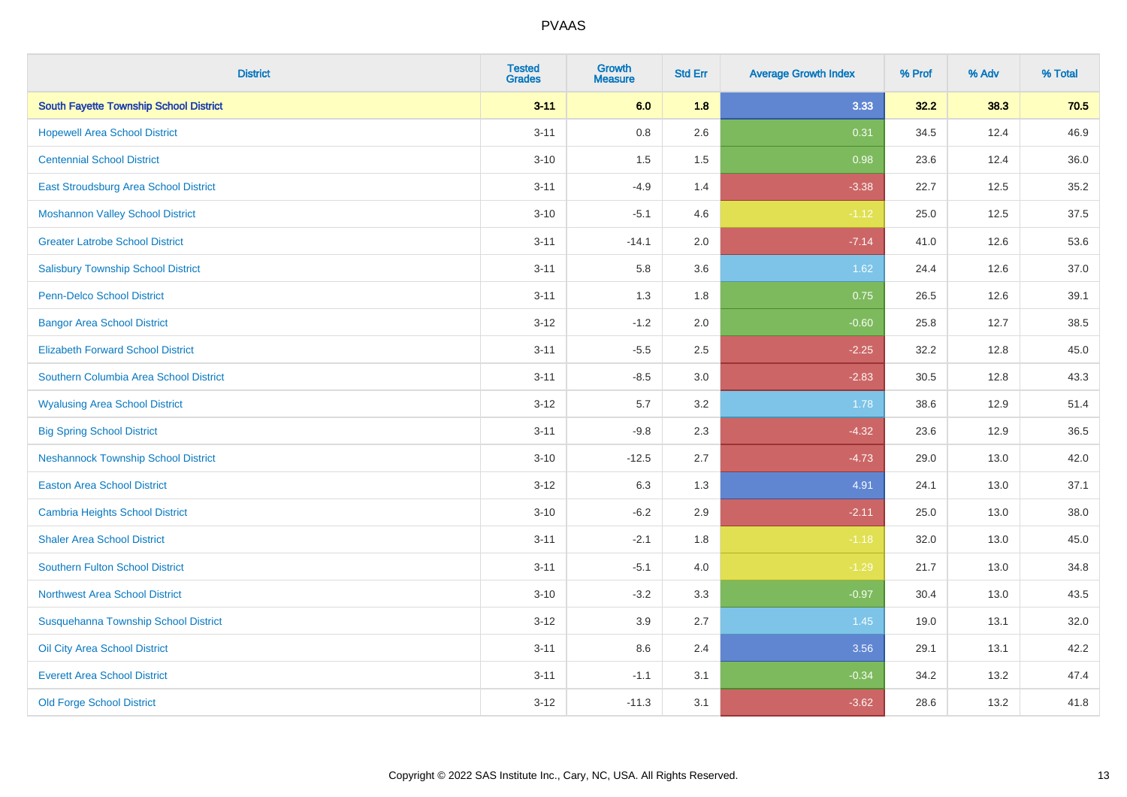| <b>District</b>                               | <b>Tested</b><br><b>Grades</b> | <b>Growth</b><br><b>Measure</b> | <b>Std Err</b> | <b>Average Growth Index</b> | % Prof | % Adv | % Total |
|-----------------------------------------------|--------------------------------|---------------------------------|----------------|-----------------------------|--------|-------|---------|
| <b>South Fayette Township School District</b> | $3 - 11$                       | 6.0                             | 1.8            | 3.33                        | 32.2   | 38.3  | 70.5    |
| <b>Hopewell Area School District</b>          | $3 - 11$                       | $0.8\,$                         | 2.6            | 0.31                        | 34.5   | 12.4  | 46.9    |
| <b>Centennial School District</b>             | $3 - 10$                       | 1.5                             | 1.5            | 0.98                        | 23.6   | 12.4  | 36.0    |
| East Stroudsburg Area School District         | $3 - 11$                       | $-4.9$                          | 1.4            | $-3.38$                     | 22.7   | 12.5  | 35.2    |
| <b>Moshannon Valley School District</b>       | $3 - 10$                       | $-5.1$                          | 4.6            | $-1.12$                     | 25.0   | 12.5  | 37.5    |
| <b>Greater Latrobe School District</b>        | $3 - 11$                       | $-14.1$                         | 2.0            | $-7.14$                     | 41.0   | 12.6  | 53.6    |
| <b>Salisbury Township School District</b>     | $3 - 11$                       | 5.8                             | 3.6            | 1.62                        | 24.4   | 12.6  | 37.0    |
| <b>Penn-Delco School District</b>             | $3 - 11$                       | 1.3                             | 1.8            | 0.75                        | 26.5   | 12.6  | 39.1    |
| <b>Bangor Area School District</b>            | $3 - 12$                       | $-1.2$                          | 2.0            | $-0.60$                     | 25.8   | 12.7  | 38.5    |
| <b>Elizabeth Forward School District</b>      | $3 - 11$                       | $-5.5$                          | 2.5            | $-2.25$                     | 32.2   | 12.8  | 45.0    |
| Southern Columbia Area School District        | $3 - 11$                       | $-8.5$                          | 3.0            | $-2.83$                     | 30.5   | 12.8  | 43.3    |
| <b>Wyalusing Area School District</b>         | $3 - 12$                       | 5.7                             | 3.2            | 1.78                        | 38.6   | 12.9  | 51.4    |
| <b>Big Spring School District</b>             | $3 - 11$                       | $-9.8$                          | 2.3            | $-4.32$                     | 23.6   | 12.9  | 36.5    |
| <b>Neshannock Township School District</b>    | $3 - 10$                       | $-12.5$                         | 2.7            | $-4.73$                     | 29.0   | 13.0  | 42.0    |
| <b>Easton Area School District</b>            | $3 - 12$                       | 6.3                             | 1.3            | 4.91                        | 24.1   | 13.0  | 37.1    |
| <b>Cambria Heights School District</b>        | $3 - 10$                       | $-6.2$                          | 2.9            | $-2.11$                     | 25.0   | 13.0  | 38.0    |
| <b>Shaler Area School District</b>            | $3 - 11$                       | $-2.1$                          | 1.8            | $-1.18$                     | 32.0   | 13.0  | 45.0    |
| <b>Southern Fulton School District</b>        | $3 - 11$                       | $-5.1$                          | 4.0            | $-1.29$                     | 21.7   | 13.0  | 34.8    |
| Northwest Area School District                | $3 - 10$                       | $-3.2$                          | 3.3            | $-0.97$                     | 30.4   | 13.0  | 43.5    |
| Susquehanna Township School District          | $3 - 12$                       | 3.9                             | 2.7            | 1.45                        | 19.0   | 13.1  | 32.0    |
| Oil City Area School District                 | $3 - 11$                       | 8.6                             | 2.4            | 3.56                        | 29.1   | 13.1  | 42.2    |
| <b>Everett Area School District</b>           | $3 - 11$                       | $-1.1$                          | 3.1            | $-0.34$                     | 34.2   | 13.2  | 47.4    |
| <b>Old Forge School District</b>              | $3 - 12$                       | $-11.3$                         | 3.1            | $-3.62$                     | 28.6   | 13.2  | 41.8    |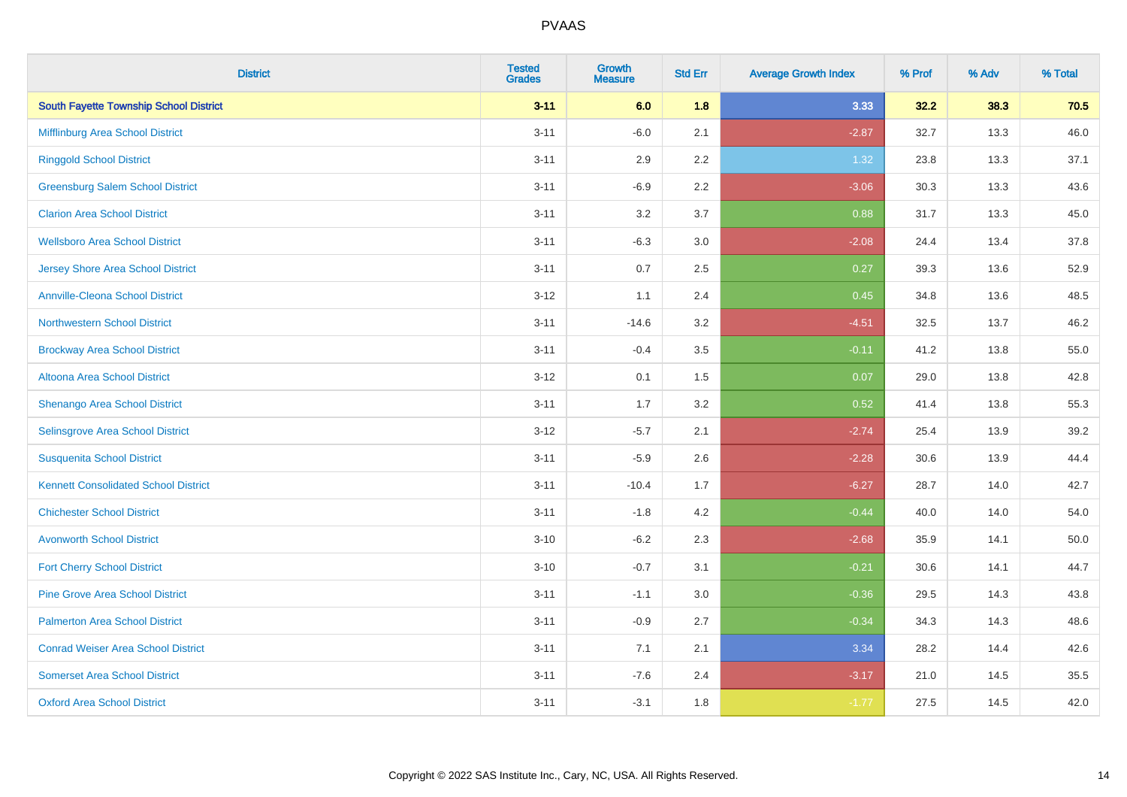| <b>District</b>                               | <b>Tested</b><br><b>Grades</b> | <b>Growth</b><br><b>Measure</b> | <b>Std Err</b> | <b>Average Growth Index</b> | % Prof | % Adv | % Total |
|-----------------------------------------------|--------------------------------|---------------------------------|----------------|-----------------------------|--------|-------|---------|
| <b>South Fayette Township School District</b> | $3 - 11$                       | 6.0                             | 1.8            | 3.33                        | 32.2   | 38.3  | 70.5    |
| Mifflinburg Area School District              | $3 - 11$                       | $-6.0$                          | 2.1            | $-2.87$                     | 32.7   | 13.3  | 46.0    |
| <b>Ringgold School District</b>               | $3 - 11$                       | 2.9                             | 2.2            | 1.32                        | 23.8   | 13.3  | 37.1    |
| <b>Greensburg Salem School District</b>       | $3 - 11$                       | $-6.9$                          | 2.2            | $-3.06$                     | 30.3   | 13.3  | 43.6    |
| <b>Clarion Area School District</b>           | $3 - 11$                       | 3.2                             | 3.7            | 0.88                        | 31.7   | 13.3  | 45.0    |
| <b>Wellsboro Area School District</b>         | $3 - 11$                       | $-6.3$                          | 3.0            | $-2.08$                     | 24.4   | 13.4  | 37.8    |
| <b>Jersey Shore Area School District</b>      | $3 - 11$                       | 0.7                             | 2.5            | 0.27                        | 39.3   | 13.6  | 52.9    |
| <b>Annville-Cleona School District</b>        | $3 - 12$                       | 1.1                             | 2.4            | 0.45                        | 34.8   | 13.6  | 48.5    |
| <b>Northwestern School District</b>           | $3 - 11$                       | $-14.6$                         | 3.2            | $-4.51$                     | 32.5   | 13.7  | 46.2    |
| <b>Brockway Area School District</b>          | $3 - 11$                       | $-0.4$                          | 3.5            | $-0.11$                     | 41.2   | 13.8  | 55.0    |
| Altoona Area School District                  | $3 - 12$                       | 0.1                             | 1.5            | 0.07                        | 29.0   | 13.8  | 42.8    |
| Shenango Area School District                 | $3 - 11$                       | 1.7                             | 3.2            | 0.52                        | 41.4   | 13.8  | 55.3    |
| Selinsgrove Area School District              | $3 - 12$                       | $-5.7$                          | 2.1            | $-2.74$                     | 25.4   | 13.9  | 39.2    |
| <b>Susquenita School District</b>             | $3 - 11$                       | $-5.9$                          | 2.6            | $-2.28$                     | 30.6   | 13.9  | 44.4    |
| <b>Kennett Consolidated School District</b>   | $3 - 11$                       | $-10.4$                         | 1.7            | $-6.27$                     | 28.7   | 14.0  | 42.7    |
| <b>Chichester School District</b>             | $3 - 11$                       | $-1.8$                          | 4.2            | $-0.44$                     | 40.0   | 14.0  | 54.0    |
| <b>Avonworth School District</b>              | $3 - 10$                       | $-6.2$                          | 2.3            | $-2.68$                     | 35.9   | 14.1  | 50.0    |
| <b>Fort Cherry School District</b>            | $3 - 10$                       | $-0.7$                          | 3.1            | $-0.21$                     | 30.6   | 14.1  | 44.7    |
| <b>Pine Grove Area School District</b>        | $3 - 11$                       | $-1.1$                          | 3.0            | $-0.36$                     | 29.5   | 14.3  | 43.8    |
| <b>Palmerton Area School District</b>         | $3 - 11$                       | $-0.9$                          | 2.7            | $-0.34$                     | 34.3   | 14.3  | 48.6    |
| <b>Conrad Weiser Area School District</b>     | $3 - 11$                       | 7.1                             | 2.1            | 3.34                        | 28.2   | 14.4  | 42.6    |
| <b>Somerset Area School District</b>          | $3 - 11$                       | $-7.6$                          | 2.4            | $-3.17$                     | 21.0   | 14.5  | 35.5    |
| <b>Oxford Area School District</b>            | $3 - 11$                       | $-3.1$                          | 1.8            | $-1.77$                     | 27.5   | 14.5  | 42.0    |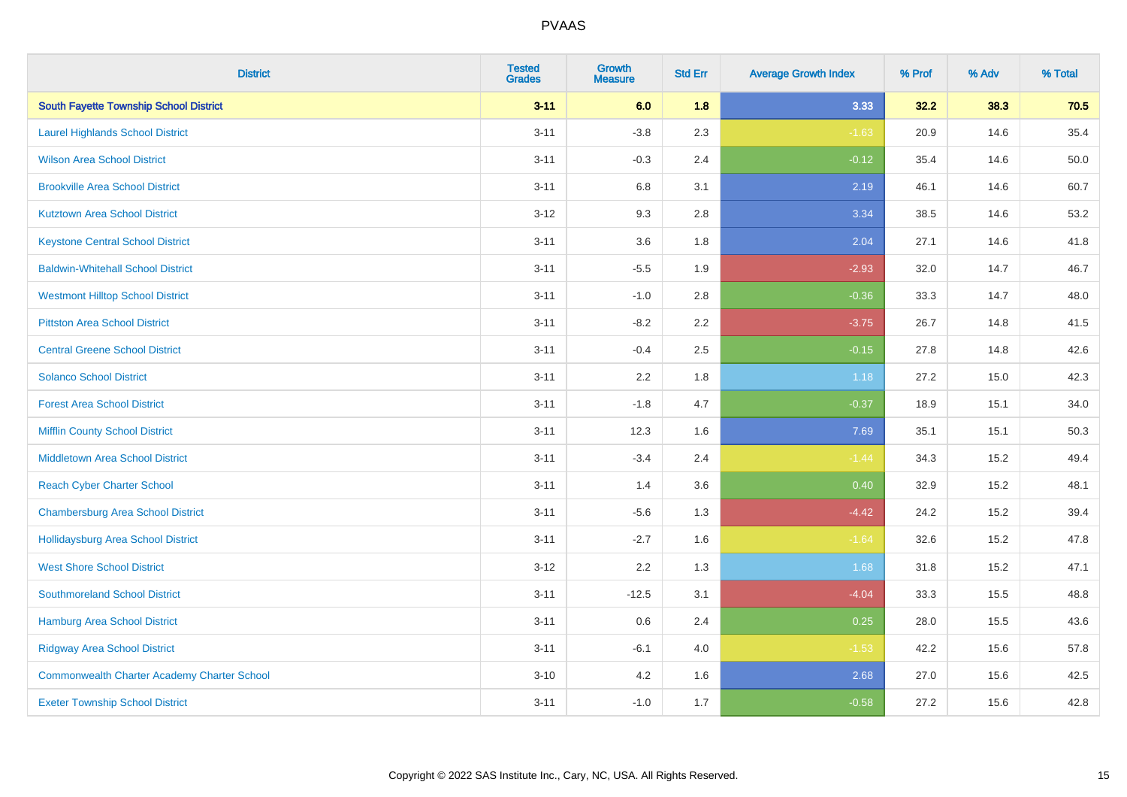| <b>District</b>                                    | <b>Tested</b><br><b>Grades</b> | <b>Growth</b><br><b>Measure</b> | <b>Std Err</b> | <b>Average Growth Index</b> | % Prof | % Adv | % Total |
|----------------------------------------------------|--------------------------------|---------------------------------|----------------|-----------------------------|--------|-------|---------|
| <b>South Fayette Township School District</b>      | $3 - 11$                       | 6.0                             | 1.8            | 3.33                        | 32.2   | 38.3  | 70.5    |
| <b>Laurel Highlands School District</b>            | $3 - 11$                       | $-3.8$                          | 2.3            | $-1.63$                     | 20.9   | 14.6  | 35.4    |
| <b>Wilson Area School District</b>                 | $3 - 11$                       | $-0.3$                          | 2.4            | $-0.12$                     | 35.4   | 14.6  | 50.0    |
| <b>Brookville Area School District</b>             | $3 - 11$                       | $6.8\,$                         | 3.1            | 2.19                        | 46.1   | 14.6  | 60.7    |
| <b>Kutztown Area School District</b>               | $3-12$                         | 9.3                             | 2.8            | 3.34                        | 38.5   | 14.6  | 53.2    |
| <b>Keystone Central School District</b>            | $3 - 11$                       | 3.6                             | 1.8            | 2.04                        | 27.1   | 14.6  | 41.8    |
| <b>Baldwin-Whitehall School District</b>           | $3 - 11$                       | $-5.5$                          | 1.9            | $-2.93$                     | 32.0   | 14.7  | 46.7    |
| <b>Westmont Hilltop School District</b>            | $3 - 11$                       | $-1.0$                          | 2.8            | $-0.36$                     | 33.3   | 14.7  | 48.0    |
| <b>Pittston Area School District</b>               | $3 - 11$                       | $-8.2$                          | 2.2            | $-3.75$                     | 26.7   | 14.8  | 41.5    |
| <b>Central Greene School District</b>              | $3 - 11$                       | $-0.4$                          | 2.5            | $-0.15$                     | 27.8   | 14.8  | 42.6    |
| <b>Solanco School District</b>                     | $3 - 11$                       | 2.2                             | 1.8            | 1.18                        | 27.2   | 15.0  | 42.3    |
| <b>Forest Area School District</b>                 | $3 - 11$                       | $-1.8$                          | 4.7            | $-0.37$                     | 18.9   | 15.1  | 34.0    |
| <b>Mifflin County School District</b>              | $3 - 11$                       | 12.3                            | 1.6            | 7.69                        | 35.1   | 15.1  | 50.3    |
| <b>Middletown Area School District</b>             | $3 - 11$                       | $-3.4$                          | 2.4            | $-1.44$                     | 34.3   | 15.2  | 49.4    |
| <b>Reach Cyber Charter School</b>                  | $3 - 11$                       | 1.4                             | 3.6            | 0.40                        | 32.9   | 15.2  | 48.1    |
| <b>Chambersburg Area School District</b>           | $3 - 11$                       | $-5.6$                          | 1.3            | $-4.42$                     | 24.2   | 15.2  | 39.4    |
| Hollidaysburg Area School District                 | $3 - 11$                       | $-2.7$                          | 1.6            | $-1.64$                     | 32.6   | 15.2  | 47.8    |
| <b>West Shore School District</b>                  | $3-12$                         | 2.2                             | 1.3            | 1.68                        | 31.8   | 15.2  | 47.1    |
| <b>Southmoreland School District</b>               | $3 - 11$                       | $-12.5$                         | 3.1            | $-4.04$                     | 33.3   | 15.5  | 48.8    |
| <b>Hamburg Area School District</b>                | $3 - 11$                       | 0.6                             | 2.4            | 0.25                        | 28.0   | 15.5  | 43.6    |
| <b>Ridgway Area School District</b>                | $3 - 11$                       | $-6.1$                          | 4.0            | $-1.53$                     | 42.2   | 15.6  | 57.8    |
| <b>Commonwealth Charter Academy Charter School</b> | $3 - 10$                       | 4.2                             | 1.6            | 2.68                        | 27.0   | 15.6  | 42.5    |
| <b>Exeter Township School District</b>             | $3 - 11$                       | $-1.0$                          | 1.7            | $-0.58$                     | 27.2   | 15.6  | 42.8    |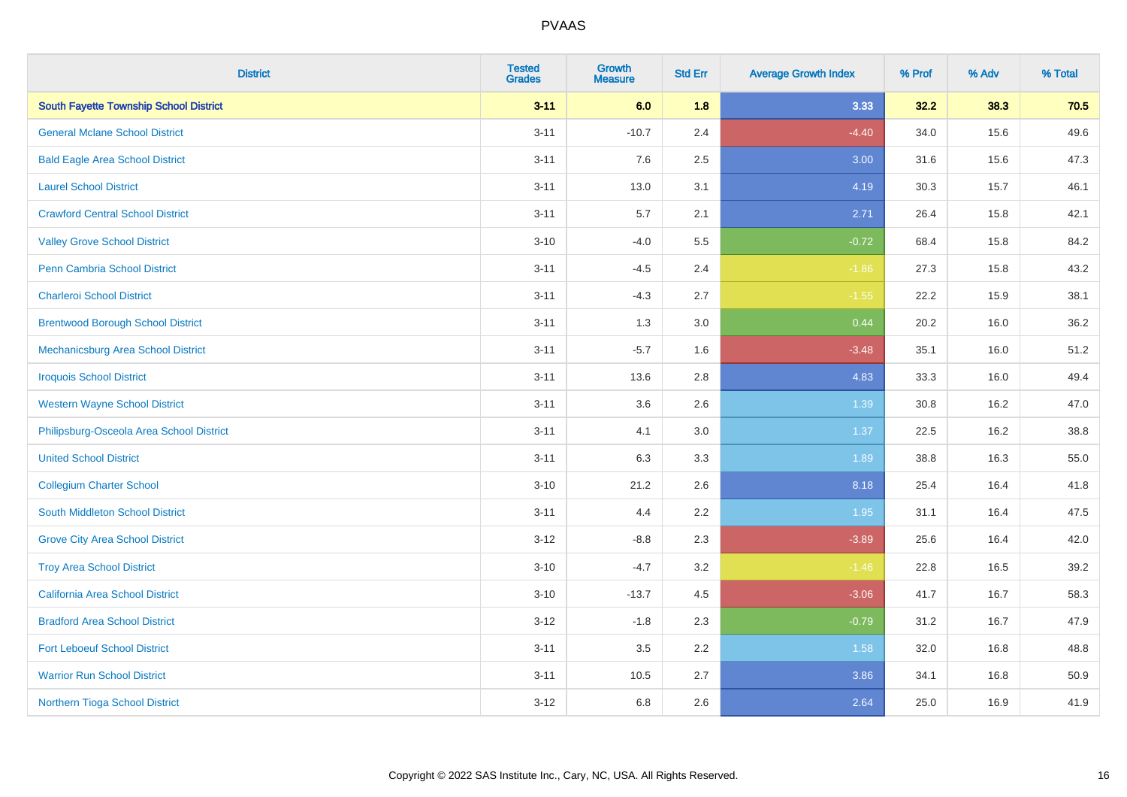| <b>District</b>                               | <b>Tested</b><br><b>Grades</b> | <b>Growth</b><br><b>Measure</b> | <b>Std Err</b> | <b>Average Growth Index</b> | % Prof | % Adv | % Total |
|-----------------------------------------------|--------------------------------|---------------------------------|----------------|-----------------------------|--------|-------|---------|
| <b>South Fayette Township School District</b> | $3 - 11$                       | 6.0                             | 1.8            | 3.33                        | 32.2   | 38.3  | 70.5    |
| <b>General Mclane School District</b>         | $3 - 11$                       | $-10.7$                         | 2.4            | $-4.40$                     | 34.0   | 15.6  | 49.6    |
| <b>Bald Eagle Area School District</b>        | $3 - 11$                       | 7.6                             | 2.5            | 3.00                        | 31.6   | 15.6  | 47.3    |
| <b>Laurel School District</b>                 | $3 - 11$                       | 13.0                            | 3.1            | 4.19                        | 30.3   | 15.7  | 46.1    |
| <b>Crawford Central School District</b>       | $3 - 11$                       | 5.7                             | 2.1            | 2.71                        | 26.4   | 15.8  | 42.1    |
| <b>Valley Grove School District</b>           | $3 - 10$                       | $-4.0$                          | 5.5            | $-0.72$                     | 68.4   | 15.8  | 84.2    |
| Penn Cambria School District                  | $3 - 11$                       | $-4.5$                          | 2.4            | $-1.86$                     | 27.3   | 15.8  | 43.2    |
| <b>Charleroi School District</b>              | $3 - 11$                       | $-4.3$                          | 2.7            | $-1.55$                     | 22.2   | 15.9  | 38.1    |
| <b>Brentwood Borough School District</b>      | $3 - 11$                       | 1.3                             | 3.0            | 0.44                        | 20.2   | 16.0  | 36.2    |
| Mechanicsburg Area School District            | $3 - 11$                       | $-5.7$                          | 1.6            | $-3.48$                     | 35.1   | 16.0  | 51.2    |
| <b>Iroquois School District</b>               | $3 - 11$                       | 13.6                            | 2.8            | 4.83                        | 33.3   | 16.0  | 49.4    |
| <b>Western Wayne School District</b>          | $3 - 11$                       | 3.6                             | 2.6            | 1.39                        | 30.8   | 16.2  | 47.0    |
| Philipsburg-Osceola Area School District      | $3 - 11$                       | 4.1                             | 3.0            | 1.37                        | 22.5   | 16.2  | 38.8    |
| <b>United School District</b>                 | $3 - 11$                       | 6.3                             | 3.3            | 1.89                        | 38.8   | 16.3  | 55.0    |
| <b>Collegium Charter School</b>               | $3 - 10$                       | 21.2                            | 2.6            | 8.18                        | 25.4   | 16.4  | 41.8    |
| South Middleton School District               | $3 - 11$                       | 4.4                             | 2.2            | 1.95                        | 31.1   | 16.4  | 47.5    |
| <b>Grove City Area School District</b>        | $3 - 12$                       | $-8.8$                          | 2.3            | $-3.89$                     | 25.6   | 16.4  | 42.0    |
| <b>Troy Area School District</b>              | $3 - 10$                       | $-4.7$                          | 3.2            | $-1.46$                     | 22.8   | 16.5  | 39.2    |
| <b>California Area School District</b>        | $3 - 10$                       | $-13.7$                         | 4.5            | $-3.06$                     | 41.7   | 16.7  | 58.3    |
| <b>Bradford Area School District</b>          | $3 - 12$                       | $-1.8$                          | 2.3            | $-0.79$                     | 31.2   | 16.7  | 47.9    |
| <b>Fort Leboeuf School District</b>           | $3 - 11$                       | $3.5\,$                         | 2.2            | 1.58                        | 32.0   | 16.8  | 48.8    |
| <b>Warrior Run School District</b>            | $3 - 11$                       | 10.5                            | 2.7            | 3.86                        | 34.1   | 16.8  | 50.9    |
| Northern Tioga School District                | $3 - 12$                       | $6.8\,$                         | 2.6            | 2.64                        | 25.0   | 16.9  | 41.9    |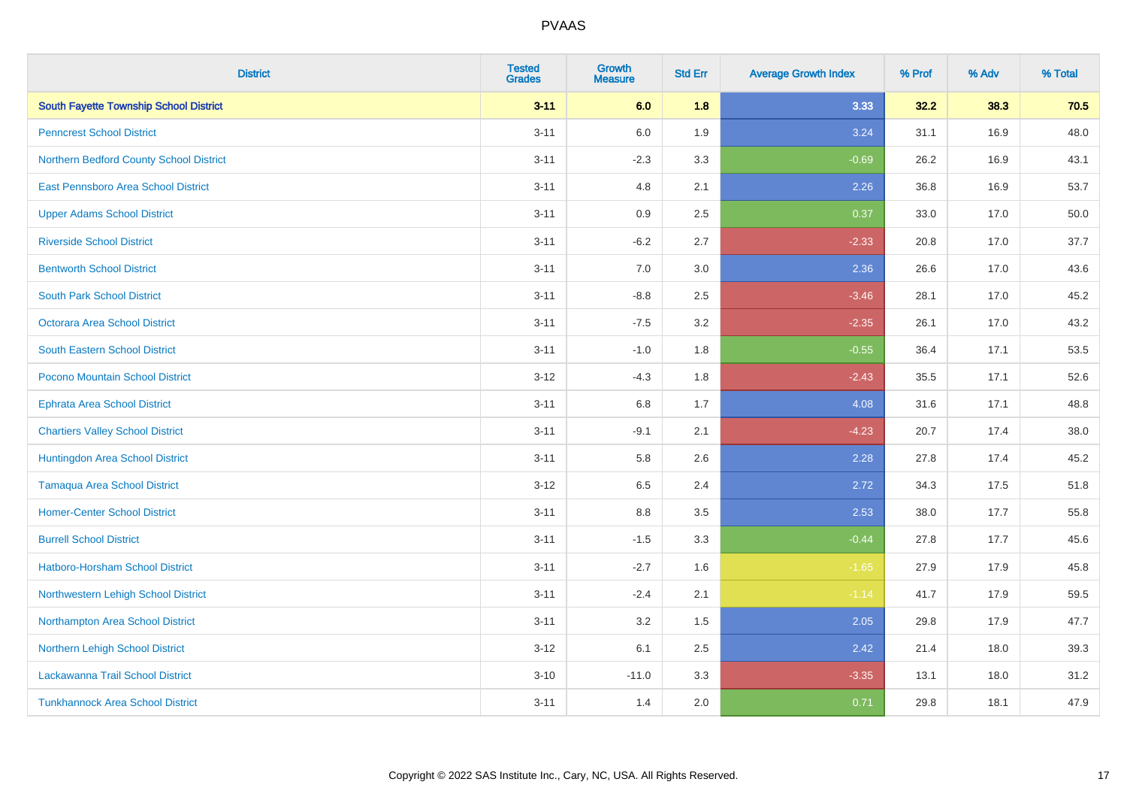| <b>District</b>                               | <b>Tested</b><br><b>Grades</b> | <b>Growth</b><br><b>Measure</b> | <b>Std Err</b> | <b>Average Growth Index</b> | % Prof | % Adv | % Total |
|-----------------------------------------------|--------------------------------|---------------------------------|----------------|-----------------------------|--------|-------|---------|
| <b>South Fayette Township School District</b> | $3 - 11$                       | 6.0                             | 1.8            | 3.33                        | 32.2   | 38.3  | 70.5    |
| <b>Penncrest School District</b>              | $3 - 11$                       | 6.0                             | 1.9            | 3.24                        | 31.1   | 16.9  | 48.0    |
| Northern Bedford County School District       | $3 - 11$                       | $-2.3$                          | 3.3            | $-0.69$                     | 26.2   | 16.9  | 43.1    |
| East Pennsboro Area School District           | $3 - 11$                       | 4.8                             | 2.1            | 2.26                        | 36.8   | 16.9  | 53.7    |
| <b>Upper Adams School District</b>            | $3 - 11$                       | 0.9                             | 2.5            | 0.37                        | 33.0   | 17.0  | 50.0    |
| <b>Riverside School District</b>              | $3 - 11$                       | $-6.2$                          | 2.7            | $-2.33$                     | 20.8   | 17.0  | 37.7    |
| <b>Bentworth School District</b>              | $3 - 11$                       | 7.0                             | 3.0            | 2.36                        | 26.6   | 17.0  | 43.6    |
| <b>South Park School District</b>             | $3 - 11$                       | $-8.8$                          | 2.5            | $-3.46$                     | 28.1   | 17.0  | 45.2    |
| <b>Octorara Area School District</b>          | $3 - 11$                       | $-7.5$                          | 3.2            | $-2.35$                     | 26.1   | 17.0  | 43.2    |
| <b>South Eastern School District</b>          | $3 - 11$                       | $-1.0$                          | 1.8            | $-0.55$                     | 36.4   | 17.1  | 53.5    |
| Pocono Mountain School District               | $3 - 12$                       | $-4.3$                          | 1.8            | $-2.43$                     | 35.5   | 17.1  | 52.6    |
| <b>Ephrata Area School District</b>           | $3 - 11$                       | 6.8                             | 1.7            | 4.08                        | 31.6   | 17.1  | 48.8    |
| <b>Chartiers Valley School District</b>       | $3 - 11$                       | $-9.1$                          | 2.1            | $-4.23$                     | 20.7   | 17.4  | 38.0    |
| Huntingdon Area School District               | $3 - 11$                       | 5.8                             | 2.6            | 2.28                        | 27.8   | 17.4  | 45.2    |
| <b>Tamaqua Area School District</b>           | $3 - 12$                       | 6.5                             | 2.4            | 2.72                        | 34.3   | 17.5  | 51.8    |
| <b>Homer-Center School District</b>           | $3 - 11$                       | 8.8                             | 3.5            | 2.53                        | 38.0   | 17.7  | 55.8    |
| <b>Burrell School District</b>                | $3 - 11$                       | $-1.5$                          | 3.3            | $-0.44$                     | 27.8   | 17.7  | 45.6    |
| Hatboro-Horsham School District               | $3 - 11$                       | $-2.7$                          | 1.6            | $-1.65$                     | 27.9   | 17.9  | 45.8    |
| Northwestern Lehigh School District           | $3 - 11$                       | $-2.4$                          | 2.1            | $-1.14$                     | 41.7   | 17.9  | 59.5    |
| Northampton Area School District              | $3 - 11$                       | 3.2                             | 1.5            | 2.05                        | 29.8   | 17.9  | 47.7    |
| Northern Lehigh School District               | $3-12$                         | 6.1                             | 2.5            | 2.42                        | 21.4   | 18.0  | 39.3    |
| Lackawanna Trail School District              | $3 - 10$                       | $-11.0$                         | 3.3            | $-3.35$                     | 13.1   | 18.0  | 31.2    |
| <b>Tunkhannock Area School District</b>       | $3 - 11$                       | 1.4                             | 2.0            | 0.71                        | 29.8   | 18.1  | 47.9    |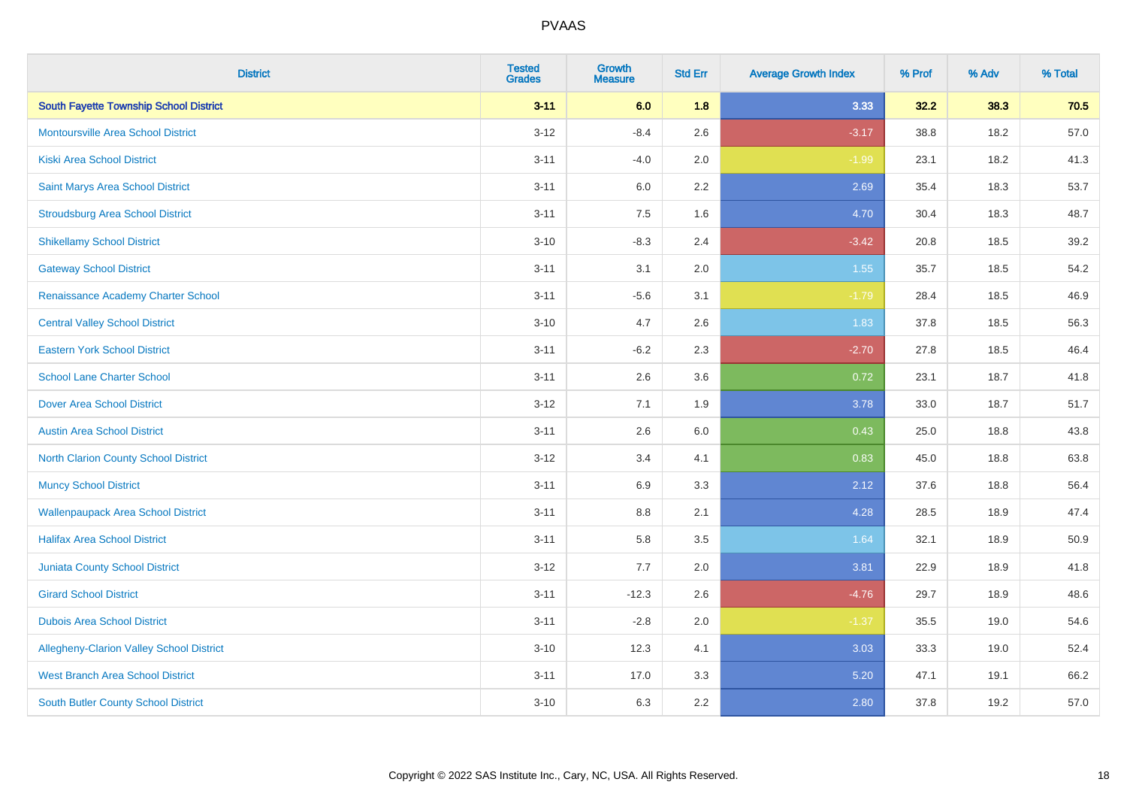| <b>District</b>                               | <b>Tested</b><br><b>Grades</b> | <b>Growth</b><br><b>Measure</b> | <b>Std Err</b> | <b>Average Growth Index</b> | % Prof | % Adv | % Total |
|-----------------------------------------------|--------------------------------|---------------------------------|----------------|-----------------------------|--------|-------|---------|
| <b>South Fayette Township School District</b> | $3 - 11$                       | 6.0                             | 1.8            | 3.33                        | 32.2   | 38.3  | 70.5    |
| <b>Montoursville Area School District</b>     | $3 - 12$                       | $-8.4$                          | 2.6            | $-3.17$                     | 38.8   | 18.2  | 57.0    |
| <b>Kiski Area School District</b>             | $3 - 11$                       | $-4.0$                          | 2.0            | $-1.99$                     | 23.1   | 18.2  | 41.3    |
| Saint Marys Area School District              | $3 - 11$                       | 6.0                             | 2.2            | 2.69                        | 35.4   | 18.3  | 53.7    |
| <b>Stroudsburg Area School District</b>       | $3 - 11$                       | 7.5                             | 1.6            | 4.70                        | 30.4   | 18.3  | 48.7    |
| <b>Shikellamy School District</b>             | $3 - 10$                       | $-8.3$                          | 2.4            | $-3.42$                     | 20.8   | 18.5  | 39.2    |
| <b>Gateway School District</b>                | $3 - 11$                       | 3.1                             | 2.0            | 1.55                        | 35.7   | 18.5  | 54.2    |
| Renaissance Academy Charter School            | $3 - 11$                       | $-5.6$                          | 3.1            | $-1.79$                     | 28.4   | 18.5  | 46.9    |
| <b>Central Valley School District</b>         | $3 - 10$                       | 4.7                             | 2.6            | 1.83                        | 37.8   | 18.5  | 56.3    |
| <b>Eastern York School District</b>           | $3 - 11$                       | $-6.2$                          | 2.3            | $-2.70$                     | 27.8   | 18.5  | 46.4    |
| <b>School Lane Charter School</b>             | $3 - 11$                       | 2.6                             | 3.6            | 0.72                        | 23.1   | 18.7  | 41.8    |
| <b>Dover Area School District</b>             | $3 - 12$                       | 7.1                             | 1.9            | 3.78                        | 33.0   | 18.7  | 51.7    |
| <b>Austin Area School District</b>            | $3 - 11$                       | 2.6                             | 6.0            | 0.43                        | 25.0   | 18.8  | 43.8    |
| North Clarion County School District          | $3 - 12$                       | 3.4                             | 4.1            | 0.83                        | 45.0   | 18.8  | 63.8    |
| <b>Muncy School District</b>                  | $3 - 11$                       | 6.9                             | 3.3            | 2.12                        | 37.6   | 18.8  | 56.4    |
| <b>Wallenpaupack Area School District</b>     | $3 - 11$                       | $8.8\,$                         | 2.1            | 4.28                        | 28.5   | 18.9  | 47.4    |
| <b>Halifax Area School District</b>           | $3 - 11$                       | 5.8                             | 3.5            | 1.64                        | 32.1   | 18.9  | 50.9    |
| <b>Juniata County School District</b>         | $3 - 12$                       | 7.7                             | 2.0            | 3.81                        | 22.9   | 18.9  | 41.8    |
| <b>Girard School District</b>                 | $3 - 11$                       | $-12.3$                         | 2.6            | $-4.76$                     | 29.7   | 18.9  | 48.6    |
| <b>Dubois Area School District</b>            | $3 - 11$                       | $-2.8$                          | 2.0            | $-1.37$                     | 35.5   | 19.0  | 54.6    |
| Allegheny-Clarion Valley School District      | $3 - 10$                       | 12.3                            | 4.1            | 3.03                        | 33.3   | 19.0  | 52.4    |
| <b>West Branch Area School District</b>       | $3 - 11$                       | 17.0                            | 3.3            | 5.20                        | 47.1   | 19.1  | 66.2    |
| South Butler County School District           | $3 - 10$                       | 6.3                             | 2.2            | 2.80                        | 37.8   | 19.2  | 57.0    |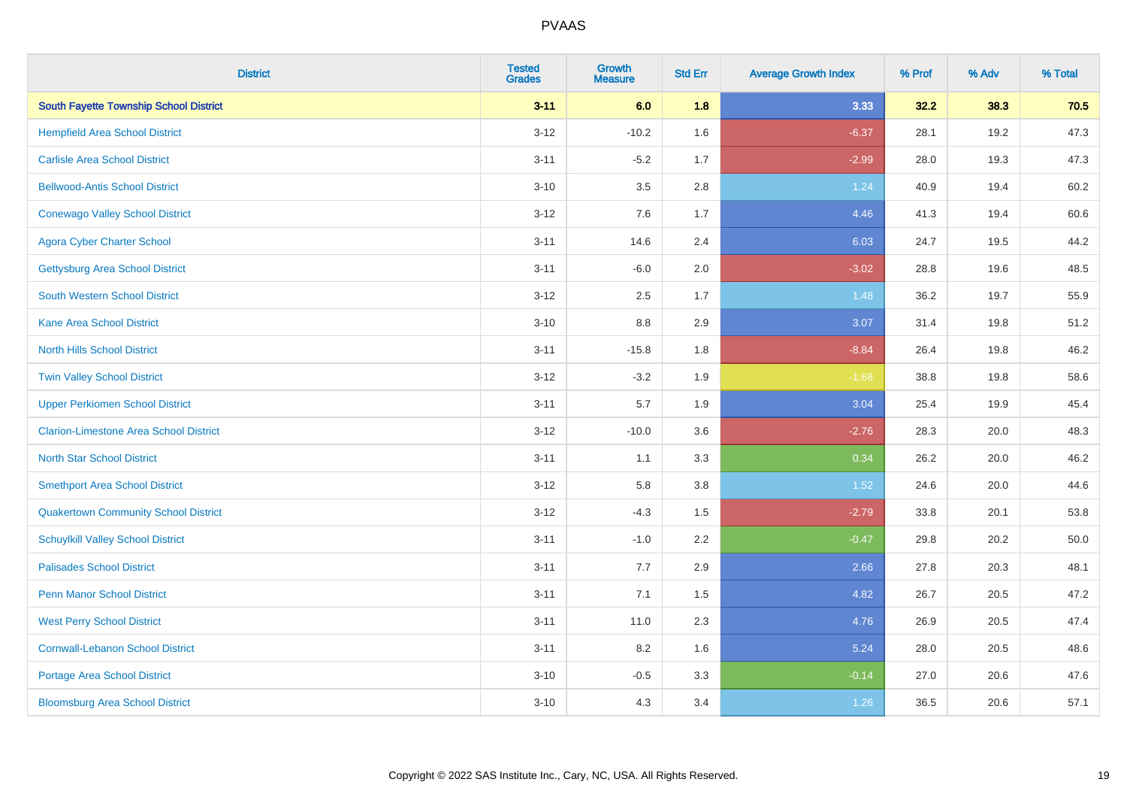| <b>District</b>                               | <b>Tested</b><br><b>Grades</b> | Growth<br><b>Measure</b> | <b>Std Err</b> | <b>Average Growth Index</b> | % Prof | % Adv | % Total |
|-----------------------------------------------|--------------------------------|--------------------------|----------------|-----------------------------|--------|-------|---------|
| <b>South Fayette Township School District</b> | $3 - 11$                       | 6.0                      | 1.8            | 3.33                        | 32.2   | 38.3  | 70.5    |
| <b>Hempfield Area School District</b>         | $3 - 12$                       | $-10.2$                  | 1.6            | $-6.37$                     | 28.1   | 19.2  | 47.3    |
| <b>Carlisle Area School District</b>          | $3 - 11$                       | $-5.2$                   | 1.7            | $-2.99$                     | 28.0   | 19.3  | 47.3    |
| <b>Bellwood-Antis School District</b>         | $3 - 10$                       | 3.5                      | 2.8            | 1.24                        | 40.9   | 19.4  | 60.2    |
| <b>Conewago Valley School District</b>        | $3 - 12$                       | 7.6                      | 1.7            | 4.46                        | 41.3   | 19.4  | 60.6    |
| <b>Agora Cyber Charter School</b>             | $3 - 11$                       | 14.6                     | 2.4            | 6.03                        | 24.7   | 19.5  | 44.2    |
| <b>Gettysburg Area School District</b>        | $3 - 11$                       | $-6.0$                   | 2.0            | $-3.02$                     | 28.8   | 19.6  | 48.5    |
| <b>South Western School District</b>          | $3 - 12$                       | 2.5                      | 1.7            | 1.48                        | 36.2   | 19.7  | 55.9    |
| <b>Kane Area School District</b>              | $3 - 10$                       | 8.8                      | 2.9            | 3.07                        | 31.4   | 19.8  | 51.2    |
| <b>North Hills School District</b>            | $3 - 11$                       | $-15.8$                  | 1.8            | $-8.84$                     | 26.4   | 19.8  | 46.2    |
| <b>Twin Valley School District</b>            | $3 - 12$                       | $-3.2$                   | 1.9            | $-1.68$                     | 38.8   | 19.8  | 58.6    |
| <b>Upper Perkiomen School District</b>        | $3 - 11$                       | 5.7                      | 1.9            | 3.04                        | 25.4   | 19.9  | 45.4    |
| <b>Clarion-Limestone Area School District</b> | $3 - 12$                       | $-10.0$                  | 3.6            | $-2.76$                     | 28.3   | 20.0  | 48.3    |
| <b>North Star School District</b>             | $3 - 11$                       | 1.1                      | 3.3            | 0.34                        | 26.2   | 20.0  | 46.2    |
| <b>Smethport Area School District</b>         | $3 - 12$                       | 5.8                      | 3.8            | 1.52                        | 24.6   | 20.0  | 44.6    |
| <b>Quakertown Community School District</b>   | $3 - 12$                       | $-4.3$                   | 1.5            | $-2.79$                     | 33.8   | 20.1  | 53.8    |
| <b>Schuylkill Valley School District</b>      | $3 - 11$                       | $-1.0$                   | 2.2            | $-0.47$                     | 29.8   | 20.2  | 50.0    |
| <b>Palisades School District</b>              | $3 - 11$                       | 7.7                      | 2.9            | 2.66                        | 27.8   | 20.3  | 48.1    |
| <b>Penn Manor School District</b>             | $3 - 11$                       | 7.1                      | 1.5            | 4.82                        | 26.7   | 20.5  | 47.2    |
| <b>West Perry School District</b>             | $3 - 11$                       | 11.0                     | 2.3            | 4.76                        | 26.9   | 20.5  | 47.4    |
| <b>Cornwall-Lebanon School District</b>       | $3 - 11$                       | 8.2                      | 1.6            | 5.24                        | 28.0   | 20.5  | 48.6    |
| <b>Portage Area School District</b>           | $3 - 10$                       | $-0.5$                   | 3.3            | $-0.14$                     | 27.0   | 20.6  | 47.6    |
| <b>Bloomsburg Area School District</b>        | $3 - 10$                       | 4.3                      | 3.4            | 1.26                        | 36.5   | 20.6  | 57.1    |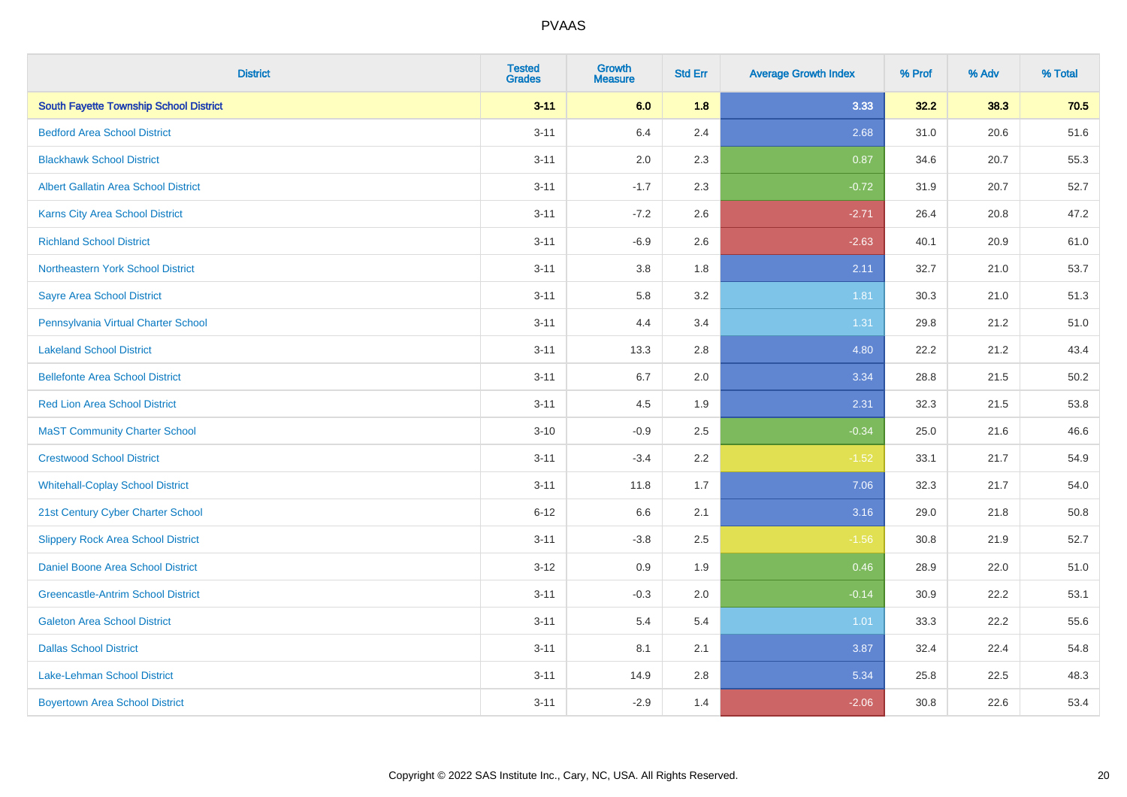| <b>District</b>                               | <b>Tested</b><br><b>Grades</b> | Growth<br><b>Measure</b> | <b>Std Err</b> | <b>Average Growth Index</b> | % Prof | % Adv | % Total  |
|-----------------------------------------------|--------------------------------|--------------------------|----------------|-----------------------------|--------|-------|----------|
| <b>South Fayette Township School District</b> | $3 - 11$                       | 6.0                      | 1.8            | 3.33                        | 32.2   | 38.3  | 70.5     |
| <b>Bedford Area School District</b>           | $3 - 11$                       | 6.4                      | 2.4            | 2.68                        | 31.0   | 20.6  | 51.6     |
| <b>Blackhawk School District</b>              | $3 - 11$                       | 2.0                      | 2.3            | 0.87                        | 34.6   | 20.7  | 55.3     |
| <b>Albert Gallatin Area School District</b>   | $3 - 11$                       | $-1.7$                   | 2.3            | $-0.72$                     | 31.9   | 20.7  | 52.7     |
| <b>Karns City Area School District</b>        | $3 - 11$                       | $-7.2$                   | 2.6            | $-2.71$                     | 26.4   | 20.8  | 47.2     |
| <b>Richland School District</b>               | $3 - 11$                       | $-6.9$                   | 2.6            | $-2.63$                     | 40.1   | 20.9  | 61.0     |
| Northeastern York School District             | $3 - 11$                       | $3.8\,$                  | 1.8            | 2.11                        | 32.7   | 21.0  | 53.7     |
| <b>Sayre Area School District</b>             | $3 - 11$                       | 5.8                      | 3.2            | 1.81                        | 30.3   | 21.0  | 51.3     |
| Pennsylvania Virtual Charter School           | $3 - 11$                       | 4.4                      | 3.4            | 1.31                        | 29.8   | 21.2  | 51.0     |
| <b>Lakeland School District</b>               | $3 - 11$                       | 13.3                     | 2.8            | 4.80                        | 22.2   | 21.2  | 43.4     |
| <b>Bellefonte Area School District</b>        | $3 - 11$                       | 6.7                      | 2.0            | 3.34                        | 28.8   | 21.5  | $50.2\,$ |
| <b>Red Lion Area School District</b>          | $3 - 11$                       | 4.5                      | 1.9            | 2.31                        | 32.3   | 21.5  | 53.8     |
| <b>MaST Community Charter School</b>          | $3 - 10$                       | $-0.9$                   | 2.5            | $-0.34$                     | 25.0   | 21.6  | 46.6     |
| <b>Crestwood School District</b>              | $3 - 11$                       | $-3.4$                   | 2.2            | $-1.52$                     | 33.1   | 21.7  | 54.9     |
| <b>Whitehall-Coplay School District</b>       | $3 - 11$                       | 11.8                     | 1.7            | 7.06                        | 32.3   | 21.7  | 54.0     |
| 21st Century Cyber Charter School             | $6 - 12$                       | 6.6                      | 2.1            | 3.16                        | 29.0   | 21.8  | 50.8     |
| <b>Slippery Rock Area School District</b>     | $3 - 11$                       | $-3.8$                   | 2.5            | $-1.56$                     | 30.8   | 21.9  | 52.7     |
| <b>Daniel Boone Area School District</b>      | $3 - 12$                       | 0.9                      | 1.9            | 0.46                        | 28.9   | 22.0  | 51.0     |
| <b>Greencastle-Antrim School District</b>     | $3 - 11$                       | $-0.3$                   | 2.0            | $-0.14$                     | 30.9   | 22.2  | 53.1     |
| <b>Galeton Area School District</b>           | $3 - 11$                       | 5.4                      | 5.4            | 1.01                        | 33.3   | 22.2  | 55.6     |
| <b>Dallas School District</b>                 | $3 - 11$                       | 8.1                      | 2.1            | 3.87                        | 32.4   | 22.4  | 54.8     |
| Lake-Lehman School District                   | $3 - 11$                       | 14.9                     | 2.8            | 5.34                        | 25.8   | 22.5  | 48.3     |
| <b>Boyertown Area School District</b>         | $3 - 11$                       | $-2.9$                   | 1.4            | $-2.06$                     | 30.8   | 22.6  | 53.4     |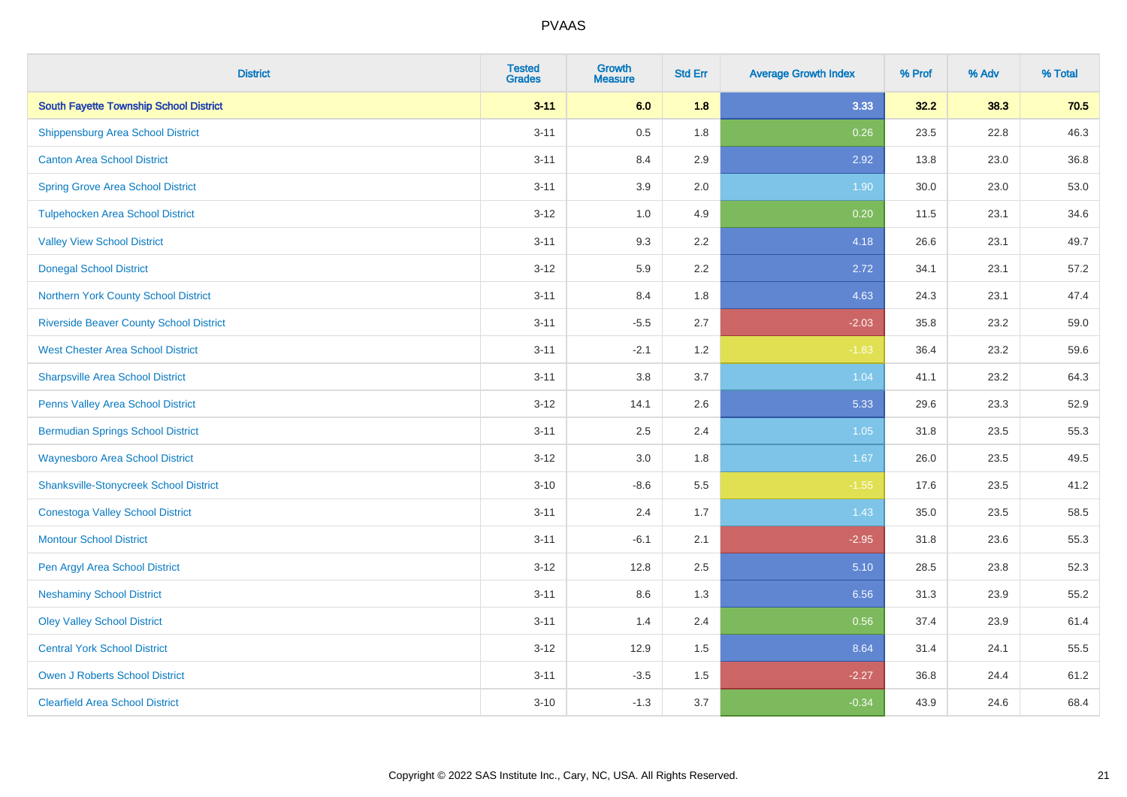| <b>District</b>                                | <b>Tested</b><br><b>Grades</b> | <b>Growth</b><br><b>Measure</b> | <b>Std Err</b> | <b>Average Growth Index</b> | % Prof | % Adv | % Total |
|------------------------------------------------|--------------------------------|---------------------------------|----------------|-----------------------------|--------|-------|---------|
| <b>South Fayette Township School District</b>  | $3 - 11$                       | 6.0                             | 1.8            | 3.33                        | 32.2   | 38.3  | 70.5    |
| <b>Shippensburg Area School District</b>       | $3 - 11$                       | 0.5                             | 1.8            | 0.26                        | 23.5   | 22.8  | 46.3    |
| <b>Canton Area School District</b>             | $3 - 11$                       | 8.4                             | 2.9            | 2.92                        | 13.8   | 23.0  | 36.8    |
| <b>Spring Grove Area School District</b>       | $3 - 11$                       | 3.9                             | 2.0            | 1.90                        | 30.0   | 23.0  | 53.0    |
| <b>Tulpehocken Area School District</b>        | $3 - 12$                       | 1.0                             | 4.9            | 0.20                        | 11.5   | 23.1  | 34.6    |
| <b>Valley View School District</b>             | $3 - 11$                       | 9.3                             | 2.2            | 4.18                        | 26.6   | 23.1  | 49.7    |
| <b>Donegal School District</b>                 | $3 - 12$                       | 5.9                             | 2.2            | 2.72                        | 34.1   | 23.1  | 57.2    |
| Northern York County School District           | $3 - 11$                       | 8.4                             | 1.8            | 4.63                        | 24.3   | 23.1  | 47.4    |
| <b>Riverside Beaver County School District</b> | $3 - 11$                       | $-5.5$                          | 2.7            | $-2.03$                     | 35.8   | 23.2  | 59.0    |
| <b>West Chester Area School District</b>       | $3 - 11$                       | $-2.1$                          | 1.2            | $-1.83$                     | 36.4   | 23.2  | 59.6    |
| <b>Sharpsville Area School District</b>        | $3 - 11$                       | 3.8                             | 3.7            | 1.04                        | 41.1   | 23.2  | 64.3    |
| Penns Valley Area School District              | $3 - 12$                       | 14.1                            | 2.6            | 5.33                        | 29.6   | 23.3  | 52.9    |
| <b>Bermudian Springs School District</b>       | $3 - 11$                       | 2.5                             | 2.4            | 1.05                        | 31.8   | 23.5  | 55.3    |
| <b>Waynesboro Area School District</b>         | $3-12$                         | 3.0                             | 1.8            | 1.67                        | 26.0   | 23.5  | 49.5    |
| <b>Shanksville-Stonycreek School District</b>  | $3 - 10$                       | $-8.6$                          | 5.5            | $-1.55$                     | 17.6   | 23.5  | 41.2    |
| <b>Conestoga Valley School District</b>        | $3 - 11$                       | 2.4                             | 1.7            | 1.43                        | 35.0   | 23.5  | 58.5    |
| <b>Montour School District</b>                 | $3 - 11$                       | $-6.1$                          | 2.1            | $-2.95$                     | 31.8   | 23.6  | 55.3    |
| Pen Argyl Area School District                 | $3 - 12$                       | 12.8                            | 2.5            | 5.10                        | 28.5   | 23.8  | 52.3    |
| <b>Neshaminy School District</b>               | $3 - 11$                       | 8.6                             | 1.3            | 6.56                        | 31.3   | 23.9  | 55.2    |
| <b>Oley Valley School District</b>             | $3 - 11$                       | 1.4                             | 2.4            | 0.56                        | 37.4   | 23.9  | 61.4    |
| <b>Central York School District</b>            | $3-12$                         | 12.9                            | 1.5            | 8.64                        | 31.4   | 24.1  | 55.5    |
| <b>Owen J Roberts School District</b>          | $3 - 11$                       | $-3.5$                          | 1.5            | $-2.27$                     | 36.8   | 24.4  | 61.2    |
| <b>Clearfield Area School District</b>         | $3 - 10$                       | $-1.3$                          | 3.7            | $-0.34$                     | 43.9   | 24.6  | 68.4    |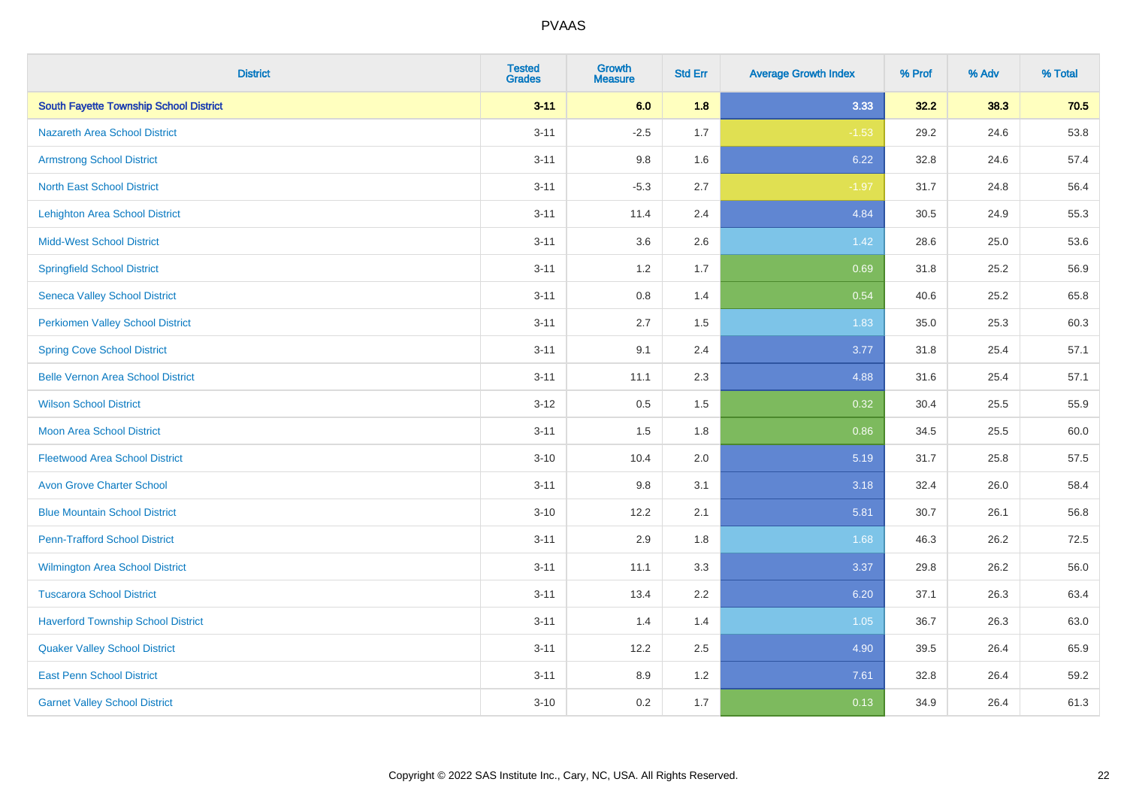| <b>District</b>                               | <b>Tested</b><br><b>Grades</b> | <b>Growth</b><br><b>Measure</b> | <b>Std Err</b> | <b>Average Growth Index</b> | % Prof | % Adv | % Total |
|-----------------------------------------------|--------------------------------|---------------------------------|----------------|-----------------------------|--------|-------|---------|
| <b>South Fayette Township School District</b> | $3 - 11$                       | 6.0                             | 1.8            | 3.33                        | 32.2   | 38.3  | 70.5    |
| <b>Nazareth Area School District</b>          | $3 - 11$                       | $-2.5$                          | 1.7            | $-1.53$                     | 29.2   | 24.6  | 53.8    |
| <b>Armstrong School District</b>              | $3 - 11$                       | 9.8                             | 1.6            | 6.22                        | 32.8   | 24.6  | 57.4    |
| <b>North East School District</b>             | $3 - 11$                       | $-5.3$                          | 2.7            | $-1.97$                     | 31.7   | 24.8  | 56.4    |
| Lehighton Area School District                | $3 - 11$                       | 11.4                            | 2.4            | 4.84                        | 30.5   | 24.9  | 55.3    |
| <b>Midd-West School District</b>              | $3 - 11$                       | 3.6                             | 2.6            | 1.42                        | 28.6   | 25.0  | 53.6    |
| <b>Springfield School District</b>            | $3 - 11$                       | 1.2                             | 1.7            | 0.69                        | 31.8   | 25.2  | 56.9    |
| <b>Seneca Valley School District</b>          | $3 - 11$                       | 0.8                             | 1.4            | 0.54                        | 40.6   | 25.2  | 65.8    |
| <b>Perkiomen Valley School District</b>       | $3 - 11$                       | 2.7                             | 1.5            | 1.83                        | 35.0   | 25.3  | 60.3    |
| <b>Spring Cove School District</b>            | $3 - 11$                       | 9.1                             | 2.4            | 3.77                        | 31.8   | 25.4  | 57.1    |
| <b>Belle Vernon Area School District</b>      | $3 - 11$                       | 11.1                            | 2.3            | 4.88                        | 31.6   | 25.4  | 57.1    |
| <b>Wilson School District</b>                 | $3 - 12$                       | 0.5                             | 1.5            | 0.32                        | 30.4   | 25.5  | 55.9    |
| Moon Area School District                     | $3 - 11$                       | 1.5                             | 1.8            | 0.86                        | 34.5   | 25.5  | 60.0    |
| <b>Fleetwood Area School District</b>         | $3 - 10$                       | 10.4                            | 2.0            | 5.19                        | 31.7   | 25.8  | 57.5    |
| <b>Avon Grove Charter School</b>              | $3 - 11$                       | 9.8                             | 3.1            | 3.18                        | 32.4   | 26.0  | 58.4    |
| <b>Blue Mountain School District</b>          | $3 - 10$                       | 12.2                            | 2.1            | 5.81                        | 30.7   | 26.1  | 56.8    |
| <b>Penn-Trafford School District</b>          | $3 - 11$                       | 2.9                             | 1.8            | 1.68                        | 46.3   | 26.2  | 72.5    |
| <b>Wilmington Area School District</b>        | $3 - 11$                       | 11.1                            | 3.3            | 3.37                        | 29.8   | 26.2  | 56.0    |
| <b>Tuscarora School District</b>              | $3 - 11$                       | 13.4                            | 2.2            | 6.20                        | 37.1   | 26.3  | 63.4    |
| <b>Haverford Township School District</b>     | $3 - 11$                       | 1.4                             | 1.4            | 1.05                        | 36.7   | 26.3  | 63.0    |
| <b>Quaker Valley School District</b>          | $3 - 11$                       | 12.2                            | 2.5            | 4.90                        | 39.5   | 26.4  | 65.9    |
| <b>East Penn School District</b>              | $3 - 11$                       | 8.9                             | 1.2            | 7.61                        | 32.8   | 26.4  | 59.2    |
| <b>Garnet Valley School District</b>          | $3 - 10$                       | 0.2                             | 1.7            | 0.13                        | 34.9   | 26.4  | 61.3    |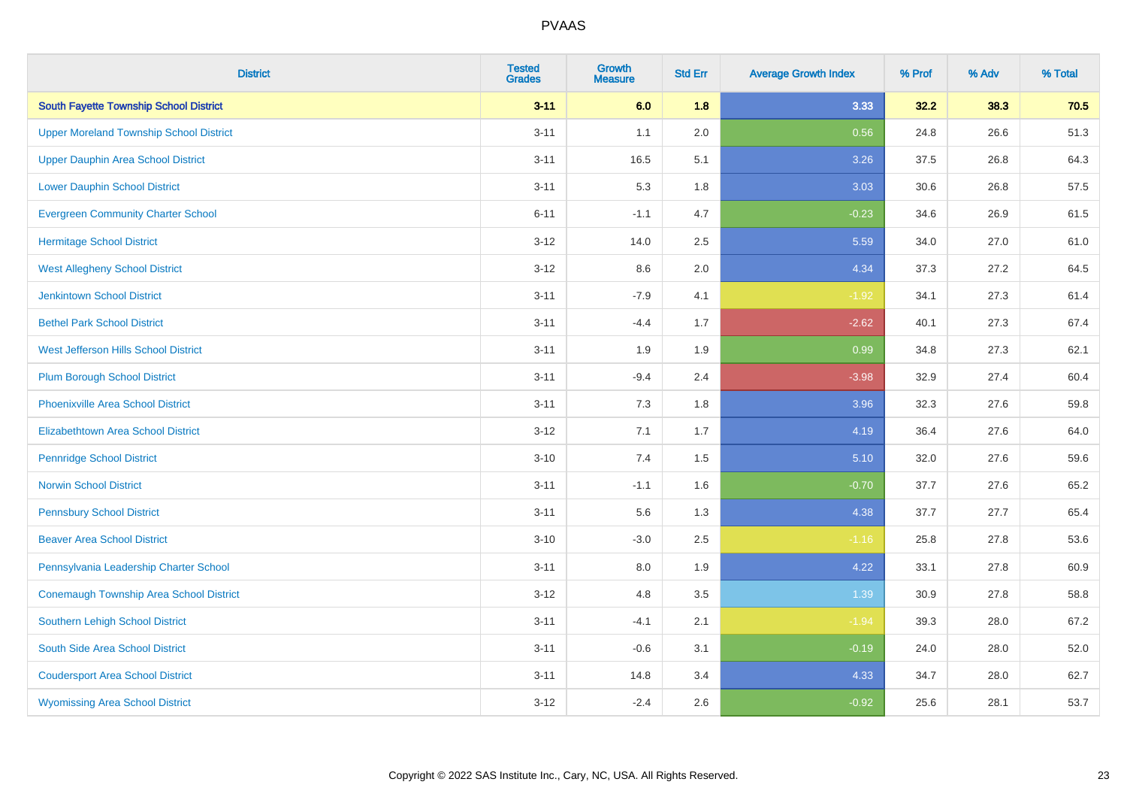| <b>District</b>                                | <b>Tested</b><br><b>Grades</b> | <b>Growth</b><br><b>Measure</b> | <b>Std Err</b> | <b>Average Growth Index</b> | % Prof | % Adv | % Total |
|------------------------------------------------|--------------------------------|---------------------------------|----------------|-----------------------------|--------|-------|---------|
| <b>South Fayette Township School District</b>  | $3 - 11$                       | 6.0                             | 1.8            | 3.33                        | 32.2   | 38.3  | 70.5    |
| <b>Upper Moreland Township School District</b> | $3 - 11$                       | 1.1                             | 2.0            | 0.56                        | 24.8   | 26.6  | 51.3    |
| <b>Upper Dauphin Area School District</b>      | $3 - 11$                       | 16.5                            | 5.1            | 3.26                        | 37.5   | 26.8  | 64.3    |
| <b>Lower Dauphin School District</b>           | $3 - 11$                       | 5.3                             | 1.8            | 3.03                        | 30.6   | 26.8  | 57.5    |
| <b>Evergreen Community Charter School</b>      | $6 - 11$                       | $-1.1$                          | 4.7            | $-0.23$                     | 34.6   | 26.9  | 61.5    |
| <b>Hermitage School District</b>               | $3 - 12$                       | 14.0                            | 2.5            | 5.59                        | 34.0   | 27.0  | 61.0    |
| <b>West Allegheny School District</b>          | $3-12$                         | 8.6                             | 2.0            | 4.34                        | 37.3   | 27.2  | 64.5    |
| <b>Jenkintown School District</b>              | $3 - 11$                       | $-7.9$                          | 4.1            | $-1.92$                     | 34.1   | 27.3  | 61.4    |
| <b>Bethel Park School District</b>             | $3 - 11$                       | $-4.4$                          | 1.7            | $-2.62$                     | 40.1   | 27.3  | 67.4    |
| West Jefferson Hills School District           | $3 - 11$                       | 1.9                             | 1.9            | 0.99                        | 34.8   | 27.3  | 62.1    |
| <b>Plum Borough School District</b>            | $3 - 11$                       | $-9.4$                          | 2.4            | $-3.98$                     | 32.9   | 27.4  | 60.4    |
| <b>Phoenixville Area School District</b>       | $3 - 11$                       | 7.3                             | 1.8            | 3.96                        | 32.3   | 27.6  | 59.8    |
| Elizabethtown Area School District             | $3 - 12$                       | 7.1                             | 1.7            | 4.19                        | 36.4   | 27.6  | 64.0    |
| <b>Pennridge School District</b>               | $3 - 10$                       | 7.4                             | 1.5            | 5.10                        | 32.0   | 27.6  | 59.6    |
| <b>Norwin School District</b>                  | $3 - 11$                       | $-1.1$                          | 1.6            | $-0.70$                     | 37.7   | 27.6  | 65.2    |
| <b>Pennsbury School District</b>               | $3 - 11$                       | 5.6                             | 1.3            | 4.38                        | 37.7   | 27.7  | 65.4    |
| <b>Beaver Area School District</b>             | $3 - 10$                       | $-3.0$                          | 2.5            | $-1.16$                     | 25.8   | 27.8  | 53.6    |
| Pennsylvania Leadership Charter School         | $3 - 11$                       | 8.0                             | 1.9            | 4.22                        | 33.1   | 27.8  | 60.9    |
| <b>Conemaugh Township Area School District</b> | $3 - 12$                       | 4.8                             | 3.5            | 1.39                        | 30.9   | 27.8  | 58.8    |
| <b>Southern Lehigh School District</b>         | $3 - 11$                       | $-4.1$                          | 2.1            | $-1.94$                     | 39.3   | 28.0  | 67.2    |
| South Side Area School District                | $3 - 11$                       | $-0.6$                          | 3.1            | $-0.19$                     | 24.0   | 28.0  | 52.0    |
| <b>Coudersport Area School District</b>        | $3 - 11$                       | 14.8                            | 3.4            | 4.33                        | 34.7   | 28.0  | 62.7    |
| <b>Wyomissing Area School District</b>         | $3 - 12$                       | $-2.4$                          | 2.6            | $-0.92$                     | 25.6   | 28.1  | 53.7    |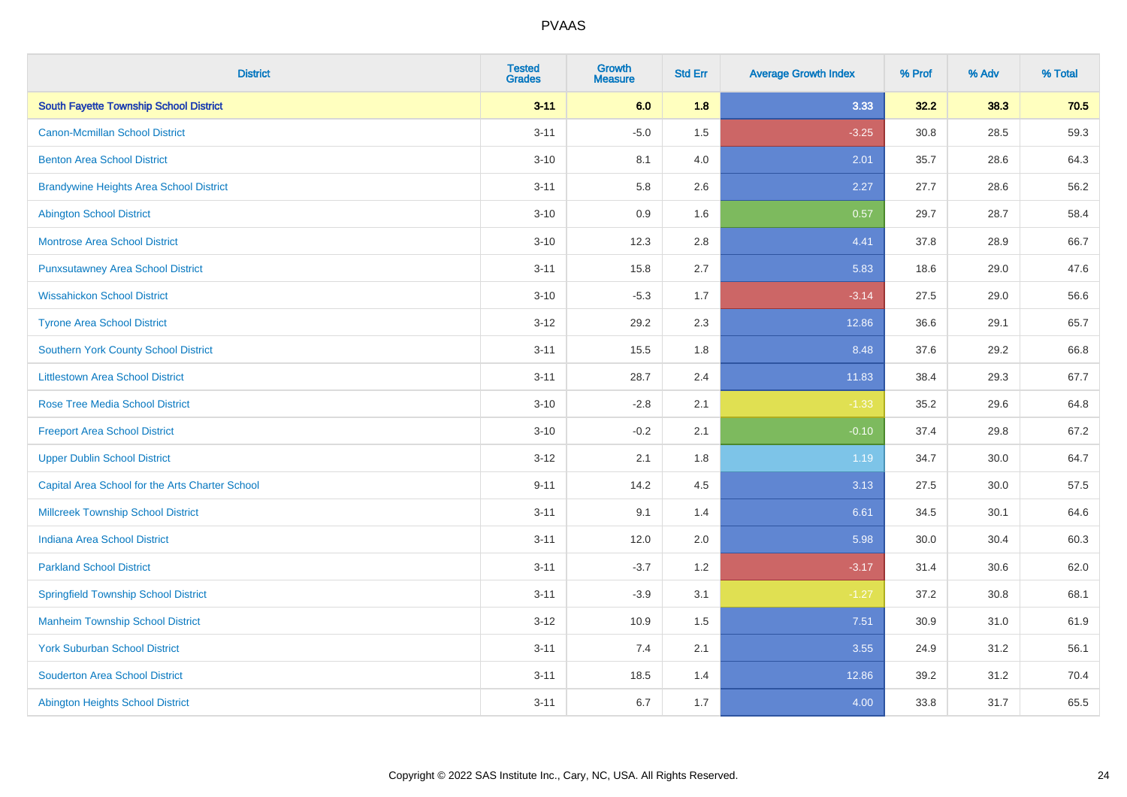| <b>District</b>                                 | <b>Tested</b><br><b>Grades</b> | <b>Growth</b><br><b>Measure</b> | <b>Std Err</b> | <b>Average Growth Index</b> | % Prof | % Adv | % Total |
|-------------------------------------------------|--------------------------------|---------------------------------|----------------|-----------------------------|--------|-------|---------|
| <b>South Fayette Township School District</b>   | $3 - 11$                       | 6.0                             | 1.8            | 3.33                        | 32.2   | 38.3  | 70.5    |
| <b>Canon-Mcmillan School District</b>           | $3 - 11$                       | $-5.0$                          | 1.5            | $-3.25$                     | 30.8   | 28.5  | 59.3    |
| <b>Benton Area School District</b>              | $3 - 10$                       | 8.1                             | 4.0            | 2.01                        | 35.7   | 28.6  | 64.3    |
| <b>Brandywine Heights Area School District</b>  | $3 - 11$                       | 5.8                             | 2.6            | 2.27                        | 27.7   | 28.6  | 56.2    |
| <b>Abington School District</b>                 | $3 - 10$                       | 0.9                             | 1.6            | 0.57                        | 29.7   | 28.7  | 58.4    |
| <b>Montrose Area School District</b>            | $3 - 10$                       | 12.3                            | 2.8            | 4.41                        | 37.8   | 28.9  | 66.7    |
| <b>Punxsutawney Area School District</b>        | $3 - 11$                       | 15.8                            | 2.7            | 5.83                        | 18.6   | 29.0  | 47.6    |
| <b>Wissahickon School District</b>              | $3 - 10$                       | $-5.3$                          | 1.7            | $-3.14$                     | 27.5   | 29.0  | 56.6    |
| <b>Tyrone Area School District</b>              | $3 - 12$                       | 29.2                            | 2.3            | 12.86                       | 36.6   | 29.1  | 65.7    |
| <b>Southern York County School District</b>     | $3 - 11$                       | 15.5                            | 1.8            | 8.48                        | 37.6   | 29.2  | 66.8    |
| <b>Littlestown Area School District</b>         | $3 - 11$                       | 28.7                            | 2.4            | 11.83                       | 38.4   | 29.3  | 67.7    |
| <b>Rose Tree Media School District</b>          | $3 - 10$                       | $-2.8$                          | 2.1            | $-1.33$                     | 35.2   | 29.6  | 64.8    |
| <b>Freeport Area School District</b>            | $3 - 10$                       | $-0.2$                          | 2.1            | $-0.10$                     | 37.4   | 29.8  | 67.2    |
| <b>Upper Dublin School District</b>             | $3-12$                         | 2.1                             | 1.8            | 1.19                        | 34.7   | 30.0  | 64.7    |
| Capital Area School for the Arts Charter School | $9 - 11$                       | 14.2                            | 4.5            | 3.13                        | 27.5   | 30.0  | 57.5    |
| <b>Millcreek Township School District</b>       | $3 - 11$                       | 9.1                             | 1.4            | 6.61                        | 34.5   | 30.1  | 64.6    |
| <b>Indiana Area School District</b>             | $3 - 11$                       | 12.0                            | 2.0            | 5.98                        | 30.0   | 30.4  | 60.3    |
| <b>Parkland School District</b>                 | $3 - 11$                       | $-3.7$                          | 1.2            | $-3.17$                     | 31.4   | 30.6  | 62.0    |
| <b>Springfield Township School District</b>     | $3 - 11$                       | $-3.9$                          | 3.1            | $-1.27$                     | 37.2   | 30.8  | 68.1    |
| <b>Manheim Township School District</b>         | $3-12$                         | 10.9                            | 1.5            | 7.51                        | 30.9   | 31.0  | 61.9    |
| <b>York Suburban School District</b>            | $3 - 11$                       | 7.4                             | 2.1            | 3.55                        | 24.9   | 31.2  | 56.1    |
| <b>Souderton Area School District</b>           | $3 - 11$                       | 18.5                            | 1.4            | 12.86                       | 39.2   | 31.2  | 70.4    |
| <b>Abington Heights School District</b>         | $3 - 11$                       | 6.7                             | 1.7            | 4.00                        | 33.8   | 31.7  | 65.5    |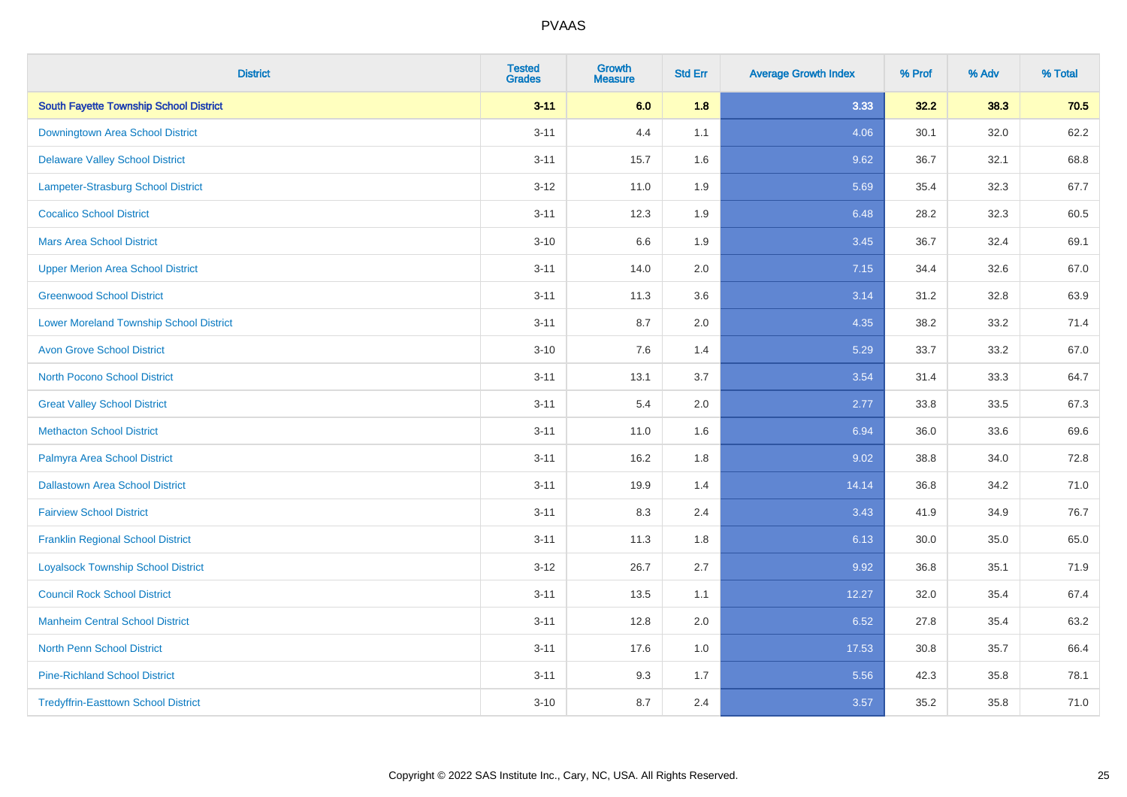| <b>District</b>                                | <b>Tested</b><br><b>Grades</b> | <b>Growth</b><br><b>Measure</b> | <b>Std Err</b> | <b>Average Growth Index</b> | % Prof | % Adv | % Total |
|------------------------------------------------|--------------------------------|---------------------------------|----------------|-----------------------------|--------|-------|---------|
| <b>South Fayette Township School District</b>  | $3 - 11$                       | 6.0                             | 1.8            | 3.33                        | 32.2   | 38.3  | 70.5    |
| Downingtown Area School District               | $3 - 11$                       | 4.4                             | 1.1            | 4.06                        | 30.1   | 32.0  | 62.2    |
| <b>Delaware Valley School District</b>         | $3 - 11$                       | 15.7                            | 1.6            | 9.62                        | 36.7   | 32.1  | 68.8    |
| Lampeter-Strasburg School District             | $3 - 12$                       | 11.0                            | 1.9            | 5.69                        | 35.4   | 32.3  | 67.7    |
| <b>Cocalico School District</b>                | $3 - 11$                       | 12.3                            | 1.9            | 6.48                        | 28.2   | 32.3  | 60.5    |
| <b>Mars Area School District</b>               | $3 - 10$                       | 6.6                             | 1.9            | 3.45                        | 36.7   | 32.4  | 69.1    |
| <b>Upper Merion Area School District</b>       | $3 - 11$                       | 14.0                            | 2.0            | 7.15                        | 34.4   | 32.6  | 67.0    |
| <b>Greenwood School District</b>               | $3 - 11$                       | 11.3                            | 3.6            | 3.14                        | 31.2   | 32.8  | 63.9    |
| <b>Lower Moreland Township School District</b> | $3 - 11$                       | 8.7                             | 2.0            | 4.35                        | 38.2   | 33.2  | 71.4    |
| <b>Avon Grove School District</b>              | $3 - 10$                       | 7.6                             | 1.4            | 5.29                        | 33.7   | 33.2  | 67.0    |
| <b>North Pocono School District</b>            | $3 - 11$                       | 13.1                            | 3.7            | 3.54                        | 31.4   | 33.3  | 64.7    |
| <b>Great Valley School District</b>            | $3 - 11$                       | 5.4                             | 2.0            | 2.77                        | 33.8   | 33.5  | 67.3    |
| <b>Methacton School District</b>               | $3 - 11$                       | 11.0                            | 1.6            | 6.94                        | 36.0   | 33.6  | 69.6    |
| Palmyra Area School District                   | $3 - 11$                       | 16.2                            | 1.8            | 9.02                        | 38.8   | 34.0  | 72.8    |
| <b>Dallastown Area School District</b>         | $3 - 11$                       | 19.9                            | 1.4            | 14.14                       | 36.8   | 34.2  | 71.0    |
| <b>Fairview School District</b>                | $3 - 11$                       | 8.3                             | 2.4            | 3.43                        | 41.9   | 34.9  | 76.7    |
| <b>Franklin Regional School District</b>       | $3 - 11$                       | 11.3                            | 1.8            | 6.13                        | 30.0   | 35.0  | 65.0    |
| <b>Loyalsock Township School District</b>      | $3 - 12$                       | 26.7                            | 2.7            | 9.92                        | 36.8   | 35.1  | 71.9    |
| <b>Council Rock School District</b>            | $3 - 11$                       | 13.5                            | 1.1            | 12.27                       | 32.0   | 35.4  | 67.4    |
| <b>Manheim Central School District</b>         | $3 - 11$                       | 12.8                            | 2.0            | 6.52                        | 27.8   | 35.4  | 63.2    |
| <b>North Penn School District</b>              | $3 - 11$                       | 17.6                            | 1.0            | 17.53                       | 30.8   | 35.7  | 66.4    |
| <b>Pine-Richland School District</b>           | $3 - 11$                       | 9.3                             | 1.7            | 5.56                        | 42.3   | 35.8  | 78.1    |
| <b>Tredyffrin-Easttown School District</b>     | $3 - 10$                       | 8.7                             | 2.4            | 3.57                        | 35.2   | 35.8  | 71.0    |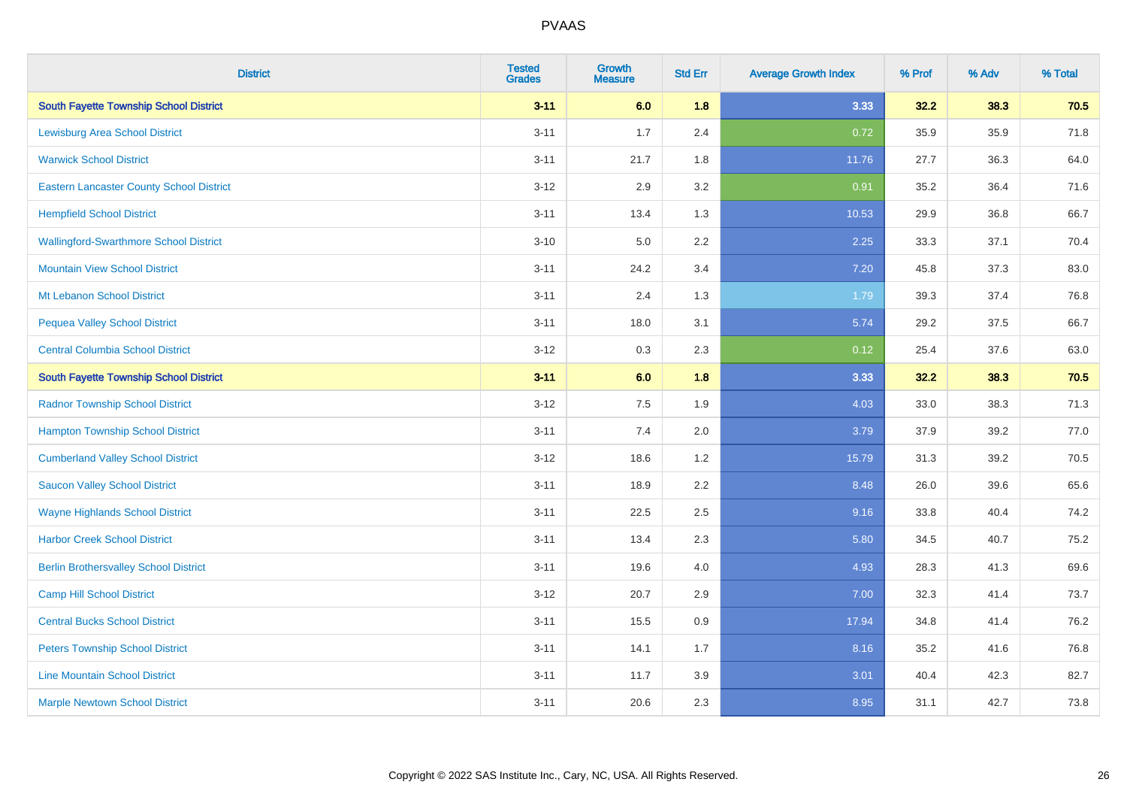| <b>District</b>                                 | <b>Tested</b><br><b>Grades</b> | <b>Growth</b><br><b>Measure</b> | <b>Std Err</b> | <b>Average Growth Index</b> | % Prof | % Adv | % Total |
|-------------------------------------------------|--------------------------------|---------------------------------|----------------|-----------------------------|--------|-------|---------|
| <b>South Fayette Township School District</b>   | $3 - 11$                       | 6.0                             | 1.8            | 3.33                        | 32.2   | 38.3  | 70.5    |
| <b>Lewisburg Area School District</b>           | $3 - 11$                       | 1.7                             | 2.4            | 0.72                        | 35.9   | 35.9  | 71.8    |
| <b>Warwick School District</b>                  | $3 - 11$                       | 21.7                            | 1.8            | 11.76                       | 27.7   | 36.3  | 64.0    |
| <b>Eastern Lancaster County School District</b> | $3 - 12$                       | 2.9                             | 3.2            | 0.91                        | 35.2   | 36.4  | 71.6    |
| <b>Hempfield School District</b>                | $3 - 11$                       | 13.4                            | 1.3            | 10.53                       | 29.9   | 36.8  | 66.7    |
| <b>Wallingford-Swarthmore School District</b>   | $3 - 10$                       | 5.0                             | 2.2            | 2.25                        | 33.3   | 37.1  | 70.4    |
| <b>Mountain View School District</b>            | $3 - 11$                       | 24.2                            | 3.4            | 7.20                        | 45.8   | 37.3  | 83.0    |
| Mt Lebanon School District                      | $3 - 11$                       | 2.4                             | 1.3            | 1.79                        | 39.3   | 37.4  | 76.8    |
| <b>Pequea Valley School District</b>            | $3 - 11$                       | 18.0                            | 3.1            | 5.74                        | 29.2   | 37.5  | 66.7    |
| <b>Central Columbia School District</b>         | $3 - 12$                       | 0.3                             | 2.3            | 0.12                        | 25.4   | 37.6  | 63.0    |
| <b>South Fayette Township School District</b>   | $3 - 11$                       | 6.0                             | 1.8            | 3.33                        | 32.2   | 38.3  | 70.5    |
| <b>Radnor Township School District</b>          | $3 - 12$                       | 7.5                             | 1.9            | 4.03                        | 33.0   | 38.3  | 71.3    |
| <b>Hampton Township School District</b>         | $3 - 11$                       | $7.4$                           | 2.0            | 3.79                        | 37.9   | 39.2  | 77.0    |
| <b>Cumberland Valley School District</b>        | $3 - 12$                       | 18.6                            | 1.2            | 15.79                       | 31.3   | 39.2  | 70.5    |
| <b>Saucon Valley School District</b>            | $3 - 11$                       | 18.9                            | 2.2            | 8.48                        | 26.0   | 39.6  | 65.6    |
| <b>Wayne Highlands School District</b>          | $3 - 11$                       | 22.5                            | 2.5            | 9.16                        | 33.8   | 40.4  | 74.2    |
| <b>Harbor Creek School District</b>             | $3 - 11$                       | 13.4                            | 2.3            | 5.80                        | 34.5   | 40.7  | 75.2    |
| <b>Berlin Brothersvalley School District</b>    | $3 - 11$                       | 19.6                            | 4.0            | 4.93                        | 28.3   | 41.3  | 69.6    |
| <b>Camp Hill School District</b>                | $3 - 12$                       | 20.7                            | 2.9            | 7.00                        | 32.3   | 41.4  | 73.7    |
| <b>Central Bucks School District</b>            | $3 - 11$                       | 15.5                            | 0.9            | 17.94                       | 34.8   | 41.4  | 76.2    |
| <b>Peters Township School District</b>          | $3 - 11$                       | 14.1                            | 1.7            | 8.16                        | 35.2   | 41.6  | 76.8    |
| <b>Line Mountain School District</b>            | $3 - 11$                       | 11.7                            | 3.9            | 3.01                        | 40.4   | 42.3  | 82.7    |
| <b>Marple Newtown School District</b>           | $3 - 11$                       | 20.6                            | 2.3            | 8.95                        | 31.1   | 42.7  | 73.8    |